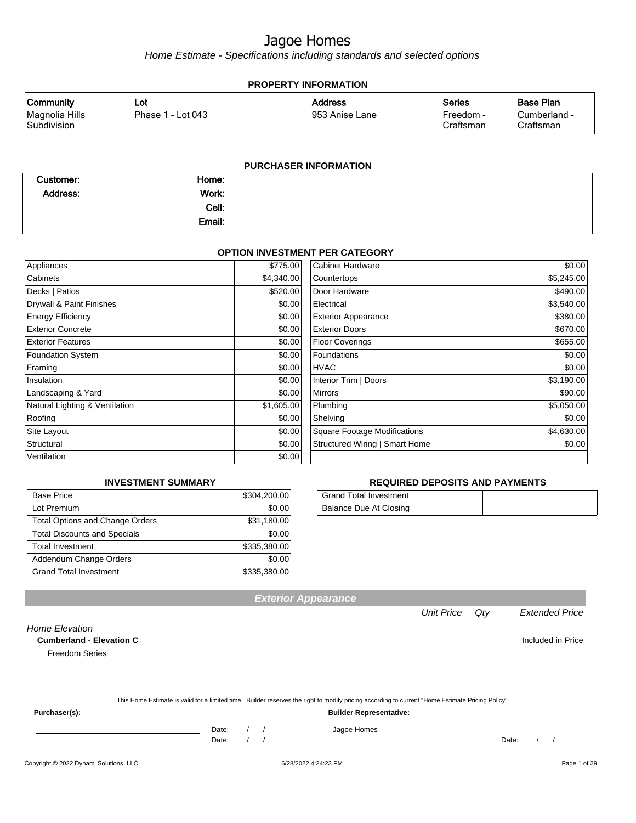Home Estimate - Specifications including standards and selected options

| <b>PROPERTY INFORMATION</b>                       |                          |                                  |                                         |                                               |
|---------------------------------------------------|--------------------------|----------------------------------|-----------------------------------------|-----------------------------------------------|
| <b>Community</b><br>Magnolia Hills<br>Subdivision | Lot<br>Phase 1 - Lot 043 | <b>Address</b><br>953 Anise Lane | <b>Series</b><br>Freedom -<br>Craftsman | <b>Base Plan</b><br>Cumberland -<br>Craftsman |
|                                                   |                          | <b>PURCHASER INFORMATION</b>     |                                         |                                               |

| Customer:       | Home:  |  |
|-----------------|--------|--|
| <b>Address:</b> | Work:  |  |
|                 | Cell:  |  |
|                 | Email: |  |

#### **OPTION INVESTMENT PER CATEGORY**

| Appliances                     | \$775.00   | <b>Cabinet Hardware</b>             | \$0.00     |
|--------------------------------|------------|-------------------------------------|------------|
| Cabinets                       | \$4,340.00 | Countertops                         | \$5,245.00 |
| Decks   Patios                 | \$520.00   | Door Hardware                       | \$490.00   |
| Drywall & Paint Finishes       | \$0.00     | Electrical                          | \$3,540.00 |
| <b>Energy Efficiency</b>       | \$0.00     | <b>Exterior Appearance</b>          | \$380.00   |
| <b>Exterior Concrete</b>       | \$0.00     | <b>Exterior Doors</b>               | \$670.00   |
| <b>Exterior Features</b>       | \$0.00     | <b>Floor Coverings</b>              | \$655.00   |
| <b>Foundation System</b>       | \$0.00     | Foundations                         | \$0.00     |
| Framing                        | \$0.00     | <b>HVAC</b>                         | \$0.00     |
| Insulation                     | \$0.00     | Interior Trim   Doors               | \$3,190.00 |
| Landscaping & Yard             | \$0.00     | <b>Mirrors</b>                      | \$90.00    |
| Natural Lighting & Ventilation | \$1,605.00 | Plumbing                            | \$5,050.00 |
| Roofing                        | \$0.00     | Shelving                            | \$0.00     |
| Site Layout                    | \$0.00     | <b>Square Footage Modifications</b> | \$4,630.00 |
| Structural                     | \$0.00     | Structured Wiring   Smart Home      | \$0.00     |
| Ventilation                    | \$0.00     |                                     |            |

#### **INVESTMENT SUMMARY**

| <b>Base Price</b>                      | \$304,200.00 |
|----------------------------------------|--------------|
| Lot Premium                            | \$0.00       |
| <b>Total Options and Change Orders</b> | \$31,180.00  |
| <b>Total Discounts and Specials</b>    | \$0.00       |
| <b>Total Investment</b>                | \$335,380.00 |
| Addendum Change Orders                 | \$0.00       |
| <b>Grand Total Investment</b>          | \$335,380.00 |

#### **REQUIRED DEPOSITS AND PAYMENTS**

| Grand Total Investment |  |
|------------------------|--|
| Balance Due At Closing |  |

**Cumberland - Elevation C C C Included in Price** 

This Home Estimate is valid for a limited time. Builder reserves the right to modify pricing according to current "Home Estimate Pricing Policy"

**Exterior Appearance**

**Purchaser(s): Builder Representative:**

Home Elevation

Freedom Series

Date: / / Date: / /

Date: / / Jagoe Homes

Unit Price Qty Extended Price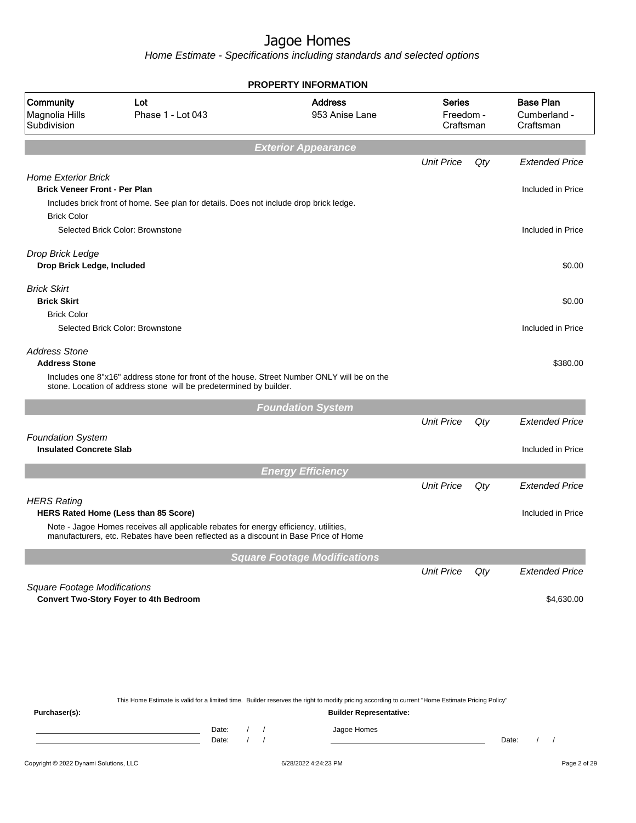Home Estimate - Specifications including standards and selected options

|                                                                                          |                                                                                                                                                                             | <b>PROPERTY INFORMATION</b>                                                                                                                      |                                         |     |                                               |
|------------------------------------------------------------------------------------------|-----------------------------------------------------------------------------------------------------------------------------------------------------------------------------|--------------------------------------------------------------------------------------------------------------------------------------------------|-----------------------------------------|-----|-----------------------------------------------|
| Community<br>Magnolia Hills<br>Subdivision                                               | Lot<br>Phase 1 - Lot 043                                                                                                                                                    | <b>Address</b><br>953 Anise Lane                                                                                                                 | <b>Series</b><br>Freedom -<br>Craftsman |     | <b>Base Plan</b><br>Cumberland -<br>Craftsman |
|                                                                                          |                                                                                                                                                                             | <b>Exterior Appearance</b>                                                                                                                       |                                         |     |                                               |
|                                                                                          |                                                                                                                                                                             |                                                                                                                                                  | <b>Unit Price</b>                       | Qty | <b>Extended Price</b>                         |
| <b>Home Exterior Brick</b><br><b>Brick Veneer Front - Per Plan</b><br><b>Brick Color</b> | Includes brick front of home. See plan for details. Does not include drop brick ledge.                                                                                      |                                                                                                                                                  |                                         |     | Included in Price                             |
|                                                                                          | Selected Brick Color: Brownstone                                                                                                                                            |                                                                                                                                                  |                                         |     | Included in Price                             |
| Drop Brick Ledge<br>Drop Brick Ledge, Included                                           |                                                                                                                                                                             |                                                                                                                                                  |                                         |     | \$0.00                                        |
| <b>Brick Skirt</b><br><b>Brick Skirt</b>                                                 |                                                                                                                                                                             |                                                                                                                                                  |                                         |     | \$0.00                                        |
| <b>Brick Color</b>                                                                       |                                                                                                                                                                             |                                                                                                                                                  |                                         |     |                                               |
|                                                                                          | Selected Brick Color: Brownstone                                                                                                                                            |                                                                                                                                                  |                                         |     | Included in Price                             |
| <b>Address Stone</b><br><b>Address Stone</b>                                             |                                                                                                                                                                             |                                                                                                                                                  |                                         |     | \$380.00                                      |
|                                                                                          | Includes one 8"x16" address stone for front of the house. Street Number ONLY will be on the<br>stone. Location of address stone will be predetermined by builder.           |                                                                                                                                                  |                                         |     |                                               |
|                                                                                          |                                                                                                                                                                             | <b>Foundation System</b>                                                                                                                         |                                         |     |                                               |
|                                                                                          |                                                                                                                                                                             |                                                                                                                                                  | <b>Unit Price</b>                       | Qty | <b>Extended Price</b>                         |
| <b>Foundation System</b><br><b>Insulated Concrete Slab</b>                               |                                                                                                                                                                             |                                                                                                                                                  |                                         |     | Included in Price                             |
|                                                                                          |                                                                                                                                                                             | <b>Energy Efficiency</b>                                                                                                                         |                                         |     |                                               |
|                                                                                          |                                                                                                                                                                             |                                                                                                                                                  | <b>Unit Price</b>                       | Qty | <b>Extended Price</b>                         |
| <b>HERS Rating</b>                                                                       |                                                                                                                                                                             |                                                                                                                                                  |                                         |     |                                               |
|                                                                                          | <b>HERS Rated Home (Less than 85 Score)</b>                                                                                                                                 |                                                                                                                                                  |                                         |     | Included in Price                             |
|                                                                                          | Note - Jagoe Homes receives all applicable rebates for energy efficiency, utilities,<br>manufacturers, etc. Rebates have been reflected as a discount in Base Price of Home |                                                                                                                                                  |                                         |     |                                               |
|                                                                                          |                                                                                                                                                                             | <b>Square Footage Modifications</b>                                                                                                              |                                         |     |                                               |
|                                                                                          |                                                                                                                                                                             |                                                                                                                                                  | <b>Unit Price</b>                       | Qty | <b>Extended Price</b>                         |
| <b>Square Footage Modifications</b>                                                      | <b>Convert Two-Story Foyer to 4th Bedroom</b>                                                                                                                               |                                                                                                                                                  |                                         |     | \$4,630.00                                    |
|                                                                                          |                                                                                                                                                                             |                                                                                                                                                  |                                         |     |                                               |
|                                                                                          |                                                                                                                                                                             | This Home Estimate is valid for a limited time. Builder reserves the right to modify pricing according to current "Home Estimate Pricing Policy" |                                         |     |                                               |
| Purchaser(s):                                                                            |                                                                                                                                                                             | <b>Builder Representative:</b>                                                                                                                   |                                         |     |                                               |

Date: / / Jagoe Homes<br>Date: / / Jagoe Homes Date: / / Date: / /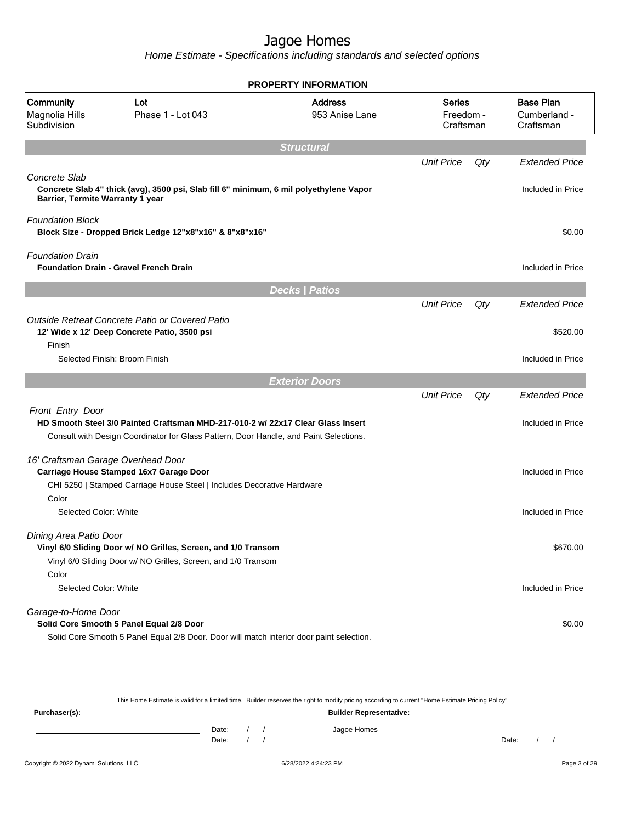Home Estimate - Specifications including standards and selected options

|                                                   |                                                                                                                                      | <b>PROPERTY INFORMATION</b>      |                                  |     |                                               |
|---------------------------------------------------|--------------------------------------------------------------------------------------------------------------------------------------|----------------------------------|----------------------------------|-----|-----------------------------------------------|
| Community<br>Magnolia Hills<br>Subdivision        | Lot<br>Phase 1 - Lot 043                                                                                                             | <b>Address</b><br>953 Anise Lane | Series<br>Freedom -<br>Craftsman |     | <b>Base Plan</b><br>Cumberland -<br>Craftsman |
|                                                   |                                                                                                                                      | <b>Structural</b>                |                                  |     |                                               |
|                                                   |                                                                                                                                      |                                  | <b>Unit Price</b>                | Qty | <b>Extended Price</b>                         |
| Concrete Slab<br>Barrier, Termite Warranty 1 year | Concrete Slab 4" thick (avg), 3500 psi, Slab fill 6" minimum, 6 mil polyethylene Vapor                                               |                                  |                                  |     | Included in Price                             |
| <b>Foundation Block</b>                           | Block Size - Dropped Brick Ledge 12"x8"x16" & 8"x8"x16"                                                                              |                                  |                                  |     | \$0.00                                        |
| <b>Foundation Drain</b>                           | <b>Foundation Drain - Gravel French Drain</b>                                                                                        |                                  |                                  |     | Included in Price                             |
|                                                   |                                                                                                                                      | <b>Decks   Patios</b>            |                                  |     |                                               |
|                                                   |                                                                                                                                      |                                  | <b>Unit Price</b>                | Qty | <b>Extended Price</b>                         |
| Finish                                            | Outside Retreat Concrete Patio or Covered Patio<br>12' Wide x 12' Deep Concrete Patio, 3500 psi                                      |                                  |                                  |     | \$520.00                                      |
|                                                   | Selected Finish: Broom Finish                                                                                                        |                                  |                                  |     | Included in Price                             |
|                                                   |                                                                                                                                      | <b>Exterior Doors</b>            |                                  |     |                                               |
|                                                   |                                                                                                                                      |                                  | <b>Unit Price</b>                | Qty | Extended Price                                |
| Front Entry Door                                  | HD Smooth Steel 3/0 Painted Craftsman MHD-217-010-2 w/ 22x17 Clear Glass Insert                                                      |                                  |                                  |     | Included in Price                             |
|                                                   | Consult with Design Coordinator for Glass Pattern, Door Handle, and Paint Selections.                                                |                                  |                                  |     |                                               |
|                                                   | 16' Craftsman Garage Overhead Door<br>Carriage House Stamped 16x7 Garage Door                                                        |                                  |                                  |     | Included in Price                             |
| Color                                             | CHI 5250   Stamped Carriage House Steel   Includes Decorative Hardware                                                               |                                  |                                  |     |                                               |
| Selected Color: White                             |                                                                                                                                      |                                  |                                  |     | Included in Price                             |
| Dining Area Patio Door                            | Vinyl 6/0 Sliding Door w/ NO Grilles, Screen, and 1/0 Transom<br>Vinyl 6/0 Sliding Door w/ NO Grilles, Screen, and 1/0 Transom       |                                  |                                  |     | \$670.00                                      |
| Color                                             |                                                                                                                                      |                                  |                                  |     |                                               |
| Selected Color: White                             |                                                                                                                                      |                                  |                                  |     | Included in Price                             |
| Garage-to-Home Door                               |                                                                                                                                      |                                  |                                  |     |                                               |
|                                                   | Solid Core Smooth 5 Panel Equal 2/8 Door<br>Solid Core Smooth 5 Panel Equal 2/8 Door. Door will match interior door paint selection. |                                  |                                  |     | \$0.00                                        |
|                                                   |                                                                                                                                      |                                  |                                  |     |                                               |

This Home Estimate is valid for a limited time. Builder reserves the right to modify pricing according to current "Home Estimate Pricing Policy"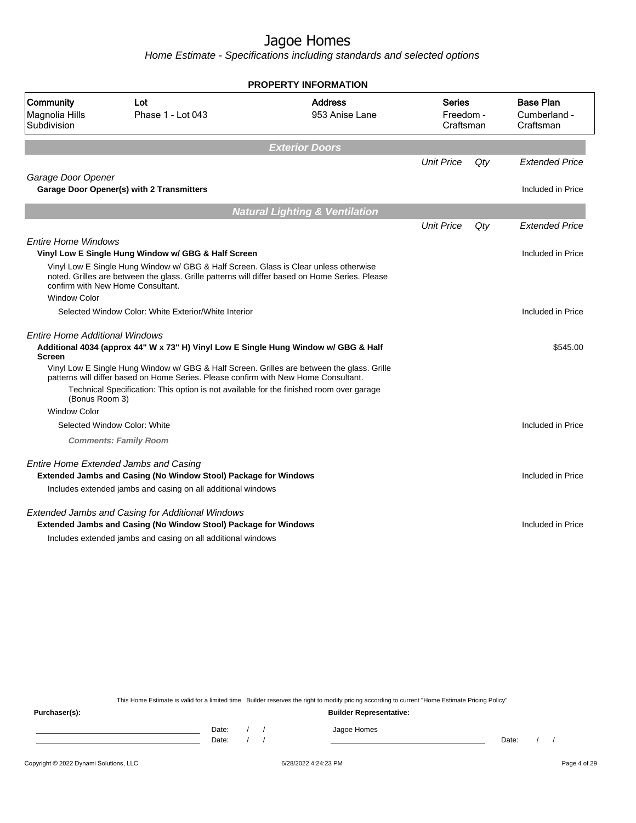Home Estimate - Specifications including standards and selected options

|                                                                                                                                                                                                                             | <b>PROPERTY INFORMATION</b>               |                                         |     |                                               |
|-----------------------------------------------------------------------------------------------------------------------------------------------------------------------------------------------------------------------------|-------------------------------------------|-----------------------------------------|-----|-----------------------------------------------|
| Community<br>Lot<br>Magnolia Hills<br>Phase 1 - Lot 043<br>Subdivision                                                                                                                                                      | <b>Address</b><br>953 Anise Lane          | <b>Series</b><br>Freedom -<br>Craftsman |     | <b>Base Plan</b><br>Cumberland -<br>Craftsman |
|                                                                                                                                                                                                                             | <b>Exterior Doors</b>                     |                                         |     |                                               |
|                                                                                                                                                                                                                             |                                           | <b>Unit Price</b>                       | Qty | <b>Extended Price</b>                         |
| Garage Door Opener                                                                                                                                                                                                          |                                           |                                         |     |                                               |
| Garage Door Opener(s) with 2 Transmitters                                                                                                                                                                                   |                                           |                                         |     | Included in Price                             |
|                                                                                                                                                                                                                             | <b>Natural Lighting &amp; Ventilation</b> |                                         |     |                                               |
|                                                                                                                                                                                                                             |                                           | <b>Unit Price</b>                       | Qtv | <b>Extended Price</b>                         |
| <b>Entire Home Windows</b>                                                                                                                                                                                                  |                                           |                                         |     |                                               |
| Vinyl Low E Single Hung Window w/ GBG & Half Screen                                                                                                                                                                         |                                           |                                         |     | Included in Price                             |
| Vinyl Low E Single Hung Window w/ GBG & Half Screen. Glass is Clear unless otherwise<br>noted. Grilles are between the glass. Grille patterns will differ based on Home Series. Please<br>confirm with New Home Consultant. |                                           |                                         |     |                                               |
| <b>Window Color</b>                                                                                                                                                                                                         |                                           |                                         |     |                                               |
| Selected Window Color: White Exterior/White Interior                                                                                                                                                                        |                                           |                                         |     | Included in Price                             |
| <b>Entire Home Additional Windows</b>                                                                                                                                                                                       |                                           |                                         |     |                                               |
| Additional 4034 (approx 44" W x 73" H) Vinyl Low E Single Hung Window w/ GBG & Half<br><b>Screen</b>                                                                                                                        |                                           |                                         |     | \$545.00                                      |
| Vinyl Low E Single Hung Window w/ GBG & Half Screen. Grilles are between the glass. Grille<br>patterns will differ based on Home Series. Please confirm with New Home Consultant.                                           |                                           |                                         |     |                                               |
| Technical Specification: This option is not available for the finished room over garage<br>(Bonus Room 3)                                                                                                                   |                                           |                                         |     |                                               |
| <b>Window Color</b>                                                                                                                                                                                                         |                                           |                                         |     |                                               |
| Selected Window Color: White                                                                                                                                                                                                |                                           |                                         |     | Included in Price                             |
| <b>Comments: Family Room</b>                                                                                                                                                                                                |                                           |                                         |     |                                               |
| <b>Entire Home Extended Jambs and Casing</b>                                                                                                                                                                                |                                           |                                         |     |                                               |
| Extended Jambs and Casing (No Window Stool) Package for Windows                                                                                                                                                             |                                           |                                         |     | Included in Price                             |
| Includes extended jambs and casing on all additional windows                                                                                                                                                                |                                           |                                         |     |                                               |
| <b>Extended Jambs and Casing for Additional Windows</b>                                                                                                                                                                     |                                           |                                         |     |                                               |
| Extended Jambs and Casing (No Window Stool) Package for Windows                                                                                                                                                             |                                           |                                         |     | Included in Price                             |
| Includes extended jambs and casing on all additional windows                                                                                                                                                                |                                           |                                         |     |                                               |

This Home Estimate is valid for a limited time. Builder reserves the right to modify pricing according to current "Home Estimate Pricing Policy"

**Purchaser(s): Builder Representative:** Date: / / Jagoe Homes<br>Date: / / Jagoe Homes Date: / / Date: / /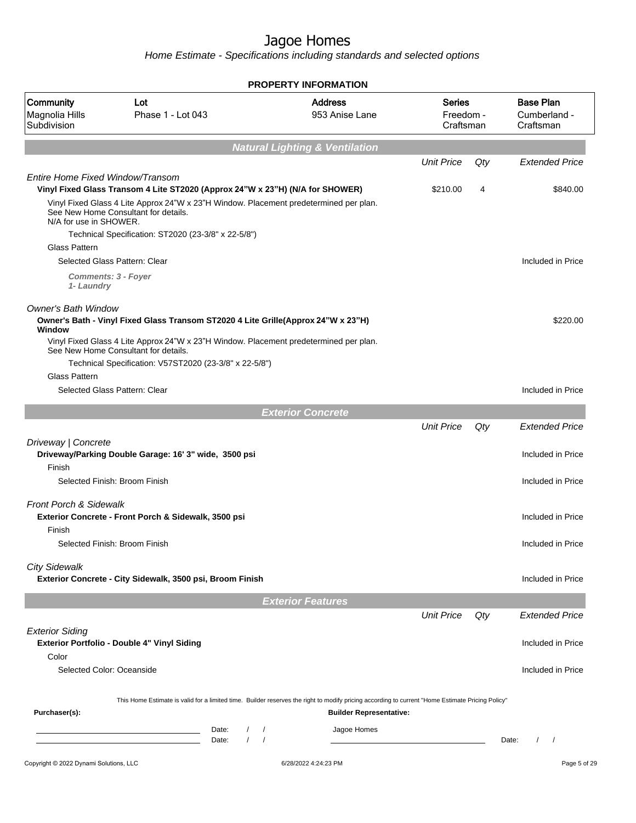|                                            |                                                                                                                               | <b>PROPERTY INFORMATION</b>                                                                                                                      |                                  |     |                                               |
|--------------------------------------------|-------------------------------------------------------------------------------------------------------------------------------|--------------------------------------------------------------------------------------------------------------------------------------------------|----------------------------------|-----|-----------------------------------------------|
| Community<br>Magnolia Hills<br>Subdivision | Lot<br>Phase 1 - Lot 043                                                                                                      | <b>Address</b><br>953 Anise Lane                                                                                                                 | Series<br>Freedom -<br>Craftsman |     | <b>Base Plan</b><br>Cumberland -<br>Craftsman |
|                                            |                                                                                                                               | <b>Natural Lighting &amp; Ventilation</b>                                                                                                        |                                  |     |                                               |
|                                            |                                                                                                                               |                                                                                                                                                  | <b>Unit Price</b>                | Qty | <b>Extended Price</b>                         |
| Entire Home Fixed Window/Transom           | Vinyl Fixed Glass Transom 4 Lite ST2020 (Approx 24"W x 23"H) (N/A for SHOWER)                                                 |                                                                                                                                                  | \$210.00                         | 4   | \$840.00                                      |
| N/A for use in SHOWER.                     | Vinyl Fixed Glass 4 Lite Approx 24"W x 23"H Window. Placement predetermined per plan.<br>See New Home Consultant for details. |                                                                                                                                                  |                                  |     |                                               |
|                                            | Technical Specification: ST2020 (23-3/8" x 22-5/8")                                                                           |                                                                                                                                                  |                                  |     |                                               |
| <b>Glass Pattern</b>                       |                                                                                                                               |                                                                                                                                                  |                                  |     |                                               |
|                                            | Selected Glass Pattern: Clear                                                                                                 |                                                                                                                                                  |                                  |     | Included in Price                             |
| 1- Laundry                                 | <b>Comments: 3 - Foyer</b>                                                                                                    |                                                                                                                                                  |                                  |     |                                               |
| <b>Owner's Bath Window</b>                 | Owner's Bath - Vinyl Fixed Glass Transom ST2020 4 Lite Grille(Approx 24"W x 23"H)                                             |                                                                                                                                                  |                                  |     | \$220.00                                      |
| Window                                     | Vinyl Fixed Glass 4 Lite Approx 24"W x 23"H Window. Placement predetermined per plan.                                         |                                                                                                                                                  |                                  |     |                                               |
|                                            | See New Home Consultant for details.                                                                                          |                                                                                                                                                  |                                  |     |                                               |
| Glass Pattern                              | Technical Specification: V57ST2020 (23-3/8" x 22-5/8")                                                                        |                                                                                                                                                  |                                  |     |                                               |
|                                            | Selected Glass Pattern: Clear                                                                                                 |                                                                                                                                                  |                                  |     | Included in Price                             |
|                                            |                                                                                                                               |                                                                                                                                                  |                                  |     |                                               |
|                                            |                                                                                                                               | <b>Exterior Concrete</b>                                                                                                                         |                                  |     |                                               |
|                                            |                                                                                                                               |                                                                                                                                                  | <b>Unit Price</b>                | Qty | <b>Extended Price</b>                         |
| Driveway   Concrete                        | Driveway/Parking Double Garage: 16' 3" wide, 3500 psi                                                                         |                                                                                                                                                  |                                  |     | Included in Price                             |
| Finish                                     |                                                                                                                               |                                                                                                                                                  |                                  |     |                                               |
|                                            | Selected Finish: Broom Finish                                                                                                 |                                                                                                                                                  |                                  |     | Included in Price                             |
| <b>Front Porch &amp; Sidewalk</b>          | Exterior Concrete - Front Porch & Sidewalk, 3500 psi                                                                          |                                                                                                                                                  |                                  |     | Included in Price                             |
| Finish                                     |                                                                                                                               |                                                                                                                                                  |                                  |     |                                               |
|                                            | Selected Finish: Broom Finish                                                                                                 |                                                                                                                                                  |                                  |     | Included in Price                             |
|                                            |                                                                                                                               |                                                                                                                                                  |                                  |     |                                               |
| <b>City Sidewalk</b>                       | Exterior Concrete - City Sidewalk, 3500 psi, Broom Finish                                                                     |                                                                                                                                                  |                                  |     | Included in Price                             |
|                                            |                                                                                                                               | <b>Exterior Features</b>                                                                                                                         |                                  |     |                                               |
|                                            |                                                                                                                               |                                                                                                                                                  | <b>Unit Price</b>                | Qty | <b>Extended Price</b>                         |
| <b>Exterior Siding</b>                     | Exterior Portfolio - Double 4" Vinyl Siding                                                                                   |                                                                                                                                                  |                                  |     | Included in Price                             |
| Color                                      |                                                                                                                               |                                                                                                                                                  |                                  |     |                                               |
| Selected Color: Oceanside                  |                                                                                                                               |                                                                                                                                                  |                                  |     | Included in Price                             |
|                                            |                                                                                                                               | This Home Estimate is valid for a limited time. Builder reserves the right to modify pricing according to current "Home Estimate Pricing Policy" |                                  |     |                                               |
| Purchaser(s):                              |                                                                                                                               | <b>Builder Representative:</b>                                                                                                                   |                                  |     |                                               |
|                                            | Date:<br>Date:                                                                                                                | Jagoe Homes<br>$\prime$                                                                                                                          |                                  |     | Date:<br>$\prime$<br>$\sqrt{2}$               |
| Copyright © 2022 Dynami Solutions, LLC     |                                                                                                                               | 6/28/2022 4:24:23 PM                                                                                                                             |                                  |     | Page 5 of 29                                  |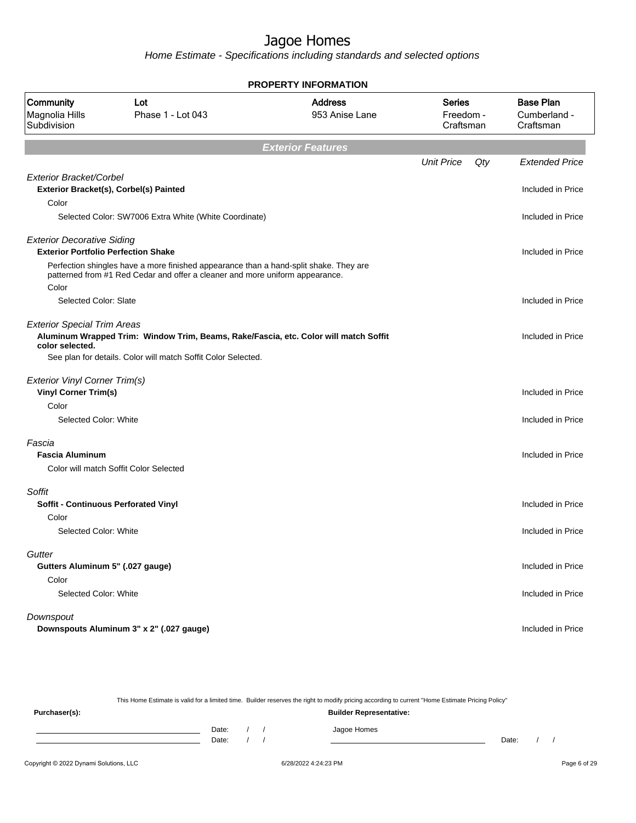Home Estimate - Specifications including standards and selected options

|                                                                                 |                                                                                                                                                                       |                                  | <b>PROPERTY INFORMATION</b>             |     |                                               |  |  |  |
|---------------------------------------------------------------------------------|-----------------------------------------------------------------------------------------------------------------------------------------------------------------------|----------------------------------|-----------------------------------------|-----|-----------------------------------------------|--|--|--|
| Community<br>Magnolia Hills<br>Subdivision                                      | Lot<br>Phase 1 - Lot 043                                                                                                                                              | <b>Address</b><br>953 Anise Lane | <b>Series</b><br>Freedom -<br>Craftsman |     | <b>Base Plan</b><br>Cumberland -<br>Craftsman |  |  |  |
|                                                                                 |                                                                                                                                                                       | <b>Exterior Features</b>         |                                         |     |                                               |  |  |  |
|                                                                                 |                                                                                                                                                                       |                                  | <b>Unit Price</b>                       | Qty | <b>Extended Price</b>                         |  |  |  |
| Exterior Bracket/Corbel                                                         | Exterior Bracket(s), Corbel(s) Painted                                                                                                                                |                                  |                                         |     | Included in Price                             |  |  |  |
| Color                                                                           |                                                                                                                                                                       |                                  |                                         |     |                                               |  |  |  |
|                                                                                 | Selected Color: SW7006 Extra White (White Coordinate)                                                                                                                 |                                  |                                         |     | Included in Price                             |  |  |  |
| <b>Exterior Decorative Siding</b><br><b>Exterior Portfolio Perfection Shake</b> |                                                                                                                                                                       |                                  |                                         |     | Included in Price                             |  |  |  |
| Color                                                                           | Perfection shingles have a more finished appearance than a hand-split shake. They are<br>patterned from #1 Red Cedar and offer a cleaner and more uniform appearance. |                                  |                                         |     |                                               |  |  |  |
| Selected Color: Slate                                                           |                                                                                                                                                                       |                                  |                                         |     | Included in Price                             |  |  |  |
| <b>Exterior Special Trim Areas</b><br>color selected.                           | Aluminum Wrapped Trim: Window Trim, Beams, Rake/Fascia, etc. Color will match Soffit<br>See plan for details. Color will match Soffit Color Selected.                 |                                  |                                         |     | Included in Price                             |  |  |  |
| Exterior Vinyl Corner Trim(s)                                                   |                                                                                                                                                                       |                                  |                                         |     |                                               |  |  |  |
| <b>Vinyl Corner Trim(s)</b>                                                     |                                                                                                                                                                       |                                  |                                         |     | Included in Price                             |  |  |  |
| Color                                                                           |                                                                                                                                                                       |                                  |                                         |     |                                               |  |  |  |
| Selected Color: White                                                           |                                                                                                                                                                       |                                  |                                         |     | Included in Price                             |  |  |  |
| Fascia                                                                          |                                                                                                                                                                       |                                  |                                         |     |                                               |  |  |  |
| <b>Fascia Aluminum</b>                                                          |                                                                                                                                                                       |                                  |                                         |     | Included in Price                             |  |  |  |
|                                                                                 | Color will match Soffit Color Selected                                                                                                                                |                                  |                                         |     |                                               |  |  |  |
| Soffit                                                                          |                                                                                                                                                                       |                                  |                                         |     |                                               |  |  |  |
| <b>Soffit - Continuous Perforated Vinyl</b>                                     |                                                                                                                                                                       |                                  |                                         |     | Included in Price                             |  |  |  |
| Color                                                                           |                                                                                                                                                                       |                                  |                                         |     |                                               |  |  |  |
| Selected Color: White                                                           |                                                                                                                                                                       |                                  |                                         |     | Included in Price                             |  |  |  |
| Gutter                                                                          |                                                                                                                                                                       |                                  |                                         |     |                                               |  |  |  |
| Gutters Aluminum 5" (.027 gauge)                                                |                                                                                                                                                                       |                                  |                                         |     | Included in Price                             |  |  |  |
| Color                                                                           |                                                                                                                                                                       |                                  |                                         |     |                                               |  |  |  |
| Selected Color: White                                                           |                                                                                                                                                                       |                                  |                                         |     | Included in Price                             |  |  |  |
| Downspout                                                                       |                                                                                                                                                                       |                                  |                                         |     |                                               |  |  |  |
|                                                                                 | Downspouts Aluminum 3" x 2" (.027 gauge)                                                                                                                              |                                  |                                         |     | Included in Price                             |  |  |  |
|                                                                                 |                                                                                                                                                                       |                                  |                                         |     |                                               |  |  |  |

This Home Estimate is valid for a limited time. Builder reserves the right to modify pricing according to current "Home Estimate Pricing Policy"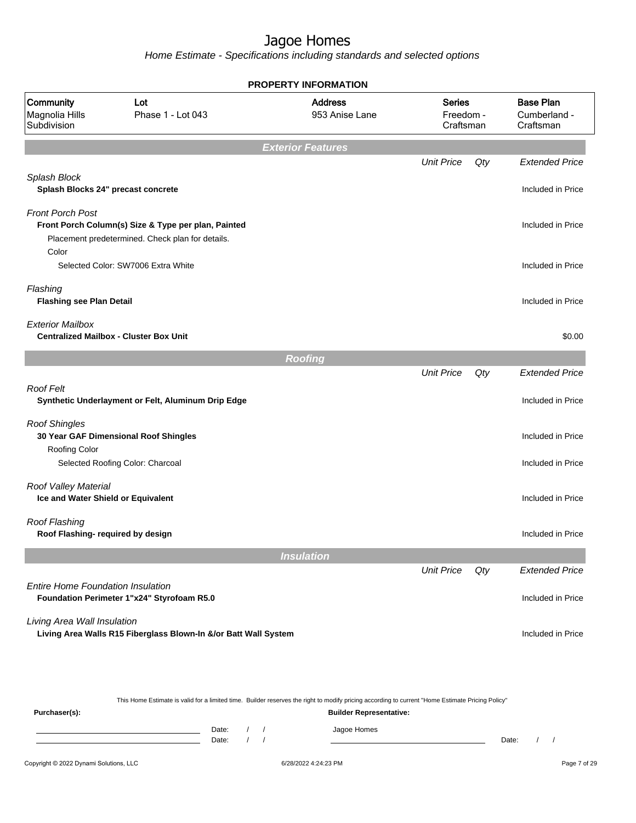Home Estimate - Specifications including standards and selected options

|                                                            |                                                                                                         | <b>PROPERTY INFORMATION</b>      |                                         |     |                                               |
|------------------------------------------------------------|---------------------------------------------------------------------------------------------------------|----------------------------------|-----------------------------------------|-----|-----------------------------------------------|
| Community<br>Magnolia Hills<br>Subdivision                 | Lot<br>Phase 1 - Lot 043                                                                                | <b>Address</b><br>953 Anise Lane | <b>Series</b><br>Freedom -<br>Craftsman |     | <b>Base Plan</b><br>Cumberland -<br>Craftsman |
|                                                            |                                                                                                         | <b>Exterior Features</b>         |                                         |     |                                               |
|                                                            |                                                                                                         |                                  | <b>Unit Price</b>                       | Qty | <b>Extended Price</b>                         |
| Splash Block<br>Splash Blocks 24" precast concrete         |                                                                                                         |                                  |                                         |     | Included in Price                             |
| <b>Front Porch Post</b>                                    | Front Porch Column(s) Size & Type per plan, Painted<br>Placement predetermined. Check plan for details. |                                  |                                         |     | Included in Price                             |
| Color                                                      | Selected Color: SW7006 Extra White                                                                      |                                  |                                         |     | Included in Price                             |
| Flashing<br><b>Flashing see Plan Detail</b>                |                                                                                                         |                                  |                                         |     | Included in Price                             |
| <b>Exterior Mailbox</b>                                    | <b>Centralized Mailbox - Cluster Box Unit</b>                                                           |                                  |                                         |     | \$0.00                                        |
|                                                            |                                                                                                         | <b>Roofing</b>                   |                                         |     |                                               |
|                                                            |                                                                                                         |                                  | <b>Unit Price</b>                       | Qty | <b>Extended Price</b>                         |
| <b>Roof Felt</b>                                           | Synthetic Underlayment or Felt, Aluminum Drip Edge                                                      |                                  |                                         |     | Included in Price                             |
| <b>Roof Shingles</b>                                       | 30 Year GAF Dimensional Roof Shingles                                                                   |                                  |                                         |     | Included in Price                             |
| <b>Roofing Color</b>                                       | Selected Roofing Color: Charcoal                                                                        |                                  |                                         |     | Included in Price                             |
| Roof Valley Material<br>Ice and Water Shield or Equivalent |                                                                                                         |                                  |                                         |     | Included in Price                             |
| <b>Roof Flashing</b><br>Roof Flashing- required by design  |                                                                                                         |                                  |                                         |     | Included in Price                             |
|                                                            |                                                                                                         | <b>Insulation</b>                |                                         |     |                                               |
|                                                            |                                                                                                         |                                  | <b>Unit Price</b>                       | Qty | <b>Extended Price</b>                         |
| <b>Entire Home Foundation Insulation</b>                   | Foundation Perimeter 1"x24" Styrofoam R5.0                                                              |                                  |                                         |     | Included in Price                             |
| Living Area Wall Insulation                                | Living Area Walls R15 Fiberglass Blown-In &/or Batt Wall System                                         |                                  |                                         |     | Included in Price                             |
|                                                            |                                                                                                         |                                  |                                         |     |                                               |

This Home Estimate is valid for a limited time. Builder reserves the right to modify pricing according to current "Home Estimate Pricing Policy"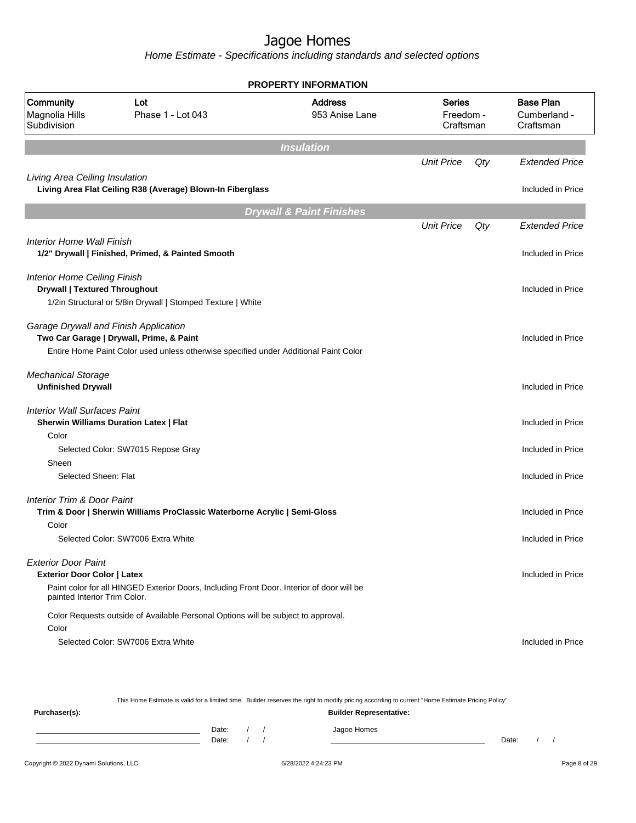Home Estimate - Specifications including standards and selected options

|                                                                             |                                                                                                                                                                           | <b>PROPERTY INFORMATION</b>         |                                         |     |                                               |
|-----------------------------------------------------------------------------|---------------------------------------------------------------------------------------------------------------------------------------------------------------------------|-------------------------------------|-----------------------------------------|-----|-----------------------------------------------|
| Community<br>Magnolia Hills<br>Subdivision                                  | Lot<br>Phase 1 - Lot 043                                                                                                                                                  | <b>Address</b><br>953 Anise Lane    | <b>Series</b><br>Freedom -<br>Craftsman |     | <b>Base Plan</b><br>Cumberland -<br>Craftsman |
|                                                                             |                                                                                                                                                                           | <b>Insulation</b>                   |                                         |     |                                               |
|                                                                             |                                                                                                                                                                           |                                     | <b>Unit Price</b>                       | Qty | <b>Extended Price</b>                         |
| Living Area Ceiling Insulation                                              | Living Area Flat Ceiling R38 (Average) Blown-In Fiberglass                                                                                                                |                                     |                                         |     | Included in Price                             |
|                                                                             |                                                                                                                                                                           | <b>Drywall &amp; Paint Finishes</b> |                                         |     |                                               |
|                                                                             |                                                                                                                                                                           |                                     | <b>Unit Price</b>                       | Qty | <b>Extended Price</b>                         |
| Interior Home Wall Finish                                                   | 1/2" Drywall   Finished, Primed, & Painted Smooth                                                                                                                         |                                     |                                         |     | Included in Price                             |
| <b>Interior Home Ceiling Finish</b><br><b>Drywall   Textured Throughout</b> | 1/2in Structural or 5/8in Drywall   Stomped Texture   White                                                                                                               |                                     |                                         |     | Included in Price                             |
|                                                                             | Garage Drywall and Finish Application<br>Two Car Garage   Drywall, Prime, & Paint<br>Entire Home Paint Color used unless otherwise specified under Additional Paint Color |                                     |                                         |     | Included in Price                             |
| <b>Mechanical Storage</b><br><b>Unfinished Drywall</b>                      |                                                                                                                                                                           |                                     |                                         |     | Included in Price                             |
| <b>Interior Wall Surfaces Paint</b>                                         | <b>Sherwin Williams Duration Latex   Flat</b>                                                                                                                             |                                     |                                         |     | Included in Price                             |
| Color                                                                       |                                                                                                                                                                           |                                     |                                         |     |                                               |
|                                                                             | Selected Color: SW7015 Repose Gray                                                                                                                                        |                                     |                                         |     | Included in Price                             |
| Sheen<br>Selected Sheen: Flat                                               |                                                                                                                                                                           |                                     |                                         |     | Included in Price                             |
| Interior Trim & Door Paint                                                  | Trim & Door   Sherwin Williams ProClassic Waterborne Acrylic   Semi-Gloss                                                                                                 |                                     |                                         |     | Included in Price                             |
| Color                                                                       |                                                                                                                                                                           |                                     |                                         |     |                                               |
|                                                                             | Selected Color: SW7006 Extra White                                                                                                                                        |                                     |                                         |     | Included in Price                             |
| <b>Exterior Door Paint</b>                                                  |                                                                                                                                                                           |                                     |                                         |     |                                               |
| <b>Exterior Door Color   Latex</b>                                          |                                                                                                                                                                           |                                     |                                         |     | Included in Price                             |
| painted Interior Trim Color.                                                | Paint color for all HINGED Exterior Doors, Including Front Door. Interior of door will be                                                                                 |                                     |                                         |     |                                               |
|                                                                             | Color Requests outside of Available Personal Options will be subject to approval.                                                                                         |                                     |                                         |     |                                               |
| Color                                                                       |                                                                                                                                                                           |                                     |                                         |     |                                               |
|                                                                             | Selected Color: SW7006 Extra White                                                                                                                                        |                                     |                                         |     | Included in Price                             |

This Home Estimate is valid for a limited time. Builder reserves the right to modify pricing according to current "Home Estimate Pricing Policy"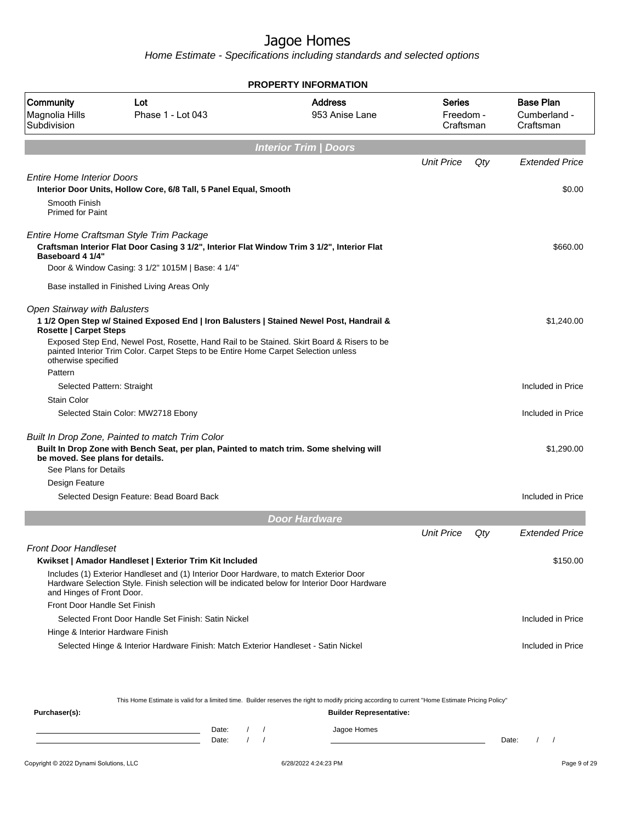Home Estimate - Specifications including standards and selected options

|                                                                                                                                                                                                                           |                   | <b>PROPERTY INFORMATION</b>                                                                   |                                         |     |                                               |
|---------------------------------------------------------------------------------------------------------------------------------------------------------------------------------------------------------------------------|-------------------|-----------------------------------------------------------------------------------------------|-----------------------------------------|-----|-----------------------------------------------|
| Community<br>Lot<br>Magnolia Hills<br>Subdivision                                                                                                                                                                         | Phase 1 - Lot 043 | <b>Address</b><br>953 Anise Lane                                                              | <b>Series</b><br>Freedom -<br>Craftsman |     | <b>Base Plan</b><br>Cumberland -<br>Craftsman |
|                                                                                                                                                                                                                           |                   | <b>Interior Trim / Doors</b>                                                                  |                                         |     |                                               |
|                                                                                                                                                                                                                           |                   |                                                                                               | <b>Unit Price</b>                       | Qty | <b>Extended Price</b>                         |
| <b>Entire Home Interior Doors</b>                                                                                                                                                                                         |                   |                                                                                               |                                         |     |                                               |
| Interior Door Units, Hollow Core, 6/8 Tall, 5 Panel Equal, Smooth                                                                                                                                                         |                   |                                                                                               |                                         |     | \$0.00                                        |
| Smooth Finish<br><b>Primed for Paint</b>                                                                                                                                                                                  |                   |                                                                                               |                                         |     |                                               |
| Entire Home Craftsman Style Trim Package                                                                                                                                                                                  |                   |                                                                                               |                                         |     |                                               |
| Craftsman Interior Flat Door Casing 3 1/2", Interior Flat Window Trim 3 1/2", Interior Flat<br>Baseboard 4 1/4"                                                                                                           |                   |                                                                                               |                                         |     | \$660.00                                      |
| Door & Window Casing: 3 1/2" 1015M   Base: 4 1/4"                                                                                                                                                                         |                   |                                                                                               |                                         |     |                                               |
| Base installed in Finished Living Areas Only                                                                                                                                                                              |                   |                                                                                               |                                         |     |                                               |
| <b>Open Stairway with Balusters</b><br><b>Rosette   Carpet Steps</b>                                                                                                                                                      |                   | 1 1/2 Open Step w/ Stained Exposed End   Iron Balusters   Stained Newel Post, Handrail &      |                                         |     | \$1,240.00                                    |
| painted Interior Trim Color. Carpet Steps to be Entire Home Carpet Selection unless<br>otherwise specified                                                                                                                |                   | Exposed Step End, Newel Post, Rosette, Hand Rail to be Stained. Skirt Board & Risers to be    |                                         |     |                                               |
| Pattern                                                                                                                                                                                                                   |                   |                                                                                               |                                         |     |                                               |
| Selected Pattern: Straight                                                                                                                                                                                                |                   |                                                                                               |                                         |     | Included in Price                             |
| <b>Stain Color</b>                                                                                                                                                                                                        |                   |                                                                                               |                                         |     |                                               |
| Selected Stain Color: MW2718 Ebony                                                                                                                                                                                        |                   |                                                                                               |                                         |     | Included in Price                             |
| Built In Drop Zone, Painted to match Trim Color<br>Built In Drop Zone with Bench Seat, per plan, Painted to match trim. Some shelving will<br>be moved. See plans for details.<br>See Plans for Details<br>Design Feature |                   |                                                                                               |                                         |     | \$1,290.00                                    |
| Selected Design Feature: Bead Board Back                                                                                                                                                                                  |                   |                                                                                               |                                         |     | Included in Price                             |
|                                                                                                                                                                                                                           |                   |                                                                                               |                                         |     |                                               |
|                                                                                                                                                                                                                           |                   | <b>Door Hardware</b>                                                                          | <b>Unit Price</b>                       |     | <b>Extended Price</b>                         |
|                                                                                                                                                                                                                           |                   |                                                                                               |                                         | Qty |                                               |
| <b>Front Door Handleset</b><br>Kwikset   Amador Handleset   Exterior Trim Kit Included                                                                                                                                    |                   |                                                                                               |                                         |     | \$150.00                                      |
| Includes (1) Exterior Handleset and (1) Interior Door Hardware, to match Exterior Door<br>and Hinges of Front Door.                                                                                                       |                   | Hardware Selection Style. Finish selection will be indicated below for Interior Door Hardware |                                         |     |                                               |
| Front Door Handle Set Finish                                                                                                                                                                                              |                   |                                                                                               |                                         |     |                                               |
| Selected Front Door Handle Set Finish: Satin Nickel                                                                                                                                                                       |                   |                                                                                               |                                         |     | Included in Price                             |
| Hinge & Interior Hardware Finish                                                                                                                                                                                          |                   |                                                                                               |                                         |     |                                               |
| Selected Hinge & Interior Hardware Finish: Match Exterior Handleset - Satin Nickel                                                                                                                                        |                   |                                                                                               |                                         |     | Included in Price                             |
|                                                                                                                                                                                                                           |                   |                                                                                               |                                         |     |                                               |

This Home Estimate is valid for a limited time. Builder reserves the right to modify pricing according to current "Home Estimate Pricing Policy"

| Purchaser(s): |                |  | <b>Builder Representative:</b> |       |  |
|---------------|----------------|--|--------------------------------|-------|--|
|               | Date:<br>Date: |  | Jagoe Homes                    | Date: |  |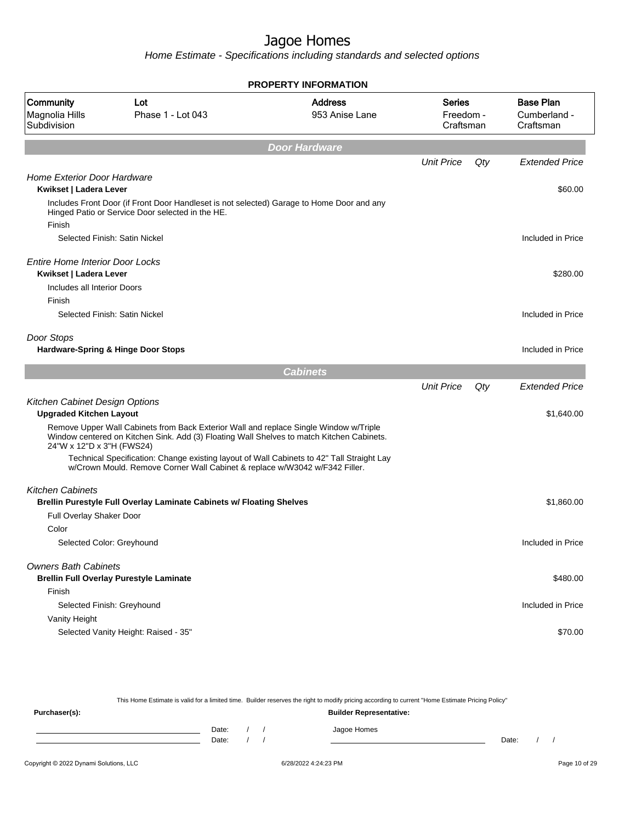Home Estimate - Specifications including standards and selected options

|                                                                  |                                                                                                                                                                                    | <b>PROPERTY INFORMATION</b>      |                                  |     |                                               |
|------------------------------------------------------------------|------------------------------------------------------------------------------------------------------------------------------------------------------------------------------------|----------------------------------|----------------------------------|-----|-----------------------------------------------|
| Community<br>Magnolia Hills<br>Subdivision                       | Lot<br>Phase 1 - Lot 043                                                                                                                                                           | <b>Address</b><br>953 Anise Lane | Series<br>Freedom -<br>Craftsman |     | <b>Base Plan</b><br>Cumberland -<br>Craftsman |
|                                                                  |                                                                                                                                                                                    | Door Hardware                    |                                  |     |                                               |
|                                                                  |                                                                                                                                                                                    |                                  | <b>Unit Price</b>                | Qty | <b>Extended Price</b>                         |
| <b>Home Exterior Door Hardware</b><br>Kwikset   Ladera Lever     |                                                                                                                                                                                    |                                  |                                  |     | \$60.00                                       |
| Finish                                                           | Includes Front Door (if Front Door Handleset is not selected) Garage to Home Door and any<br>Hinged Patio or Service Door selected in the HE.                                      |                                  |                                  |     |                                               |
|                                                                  | Selected Finish: Satin Nickel                                                                                                                                                      |                                  |                                  |     | Included in Price                             |
| <b>Entire Home Interior Door Locks</b><br>Kwikset   Ladera Lever |                                                                                                                                                                                    |                                  |                                  |     | \$280.00                                      |
| Includes all Interior Doors<br>Finish                            |                                                                                                                                                                                    |                                  |                                  |     |                                               |
|                                                                  | Selected Finish: Satin Nickel                                                                                                                                                      |                                  |                                  |     | Included in Price                             |
| Door Stops                                                       | Hardware-Spring & Hinge Door Stops                                                                                                                                                 |                                  |                                  |     | Included in Price                             |
|                                                                  |                                                                                                                                                                                    | <b>Cabinets</b>                  |                                  |     |                                               |
|                                                                  |                                                                                                                                                                                    |                                  | <b>Unit Price</b>                | Qty | <b>Extended Price</b>                         |
| Kitchen Cabinet Design Options<br><b>Upgraded Kitchen Layout</b> |                                                                                                                                                                                    |                                  |                                  |     | \$1,640.00                                    |
| 24"W x 12"D x 3"H (FWS24)                                        | Remove Upper Wall Cabinets from Back Exterior Wall and replace Single Window w/Triple<br>Window centered on Kitchen Sink. Add (3) Floating Wall Shelves to match Kitchen Cabinets. |                                  |                                  |     |                                               |
|                                                                  | Technical Specification: Change existing layout of Wall Cabinets to 42" Tall Straight Lay<br>w/Crown Mould. Remove Corner Wall Cabinet & replace w/W3042 w/F342 Filler.            |                                  |                                  |     |                                               |
| <b>Kitchen Cabinets</b>                                          |                                                                                                                                                                                    |                                  |                                  |     |                                               |
|                                                                  | Brellin Purestyle Full Overlay Laminate Cabinets w/ Floating Shelves                                                                                                               |                                  |                                  |     | \$1,860.00                                    |
| Full Overlay Shaker Door                                         |                                                                                                                                                                                    |                                  |                                  |     |                                               |
| Color                                                            |                                                                                                                                                                                    |                                  |                                  |     |                                               |
| Selected Color: Greyhound                                        |                                                                                                                                                                                    |                                  |                                  |     | Included in Price                             |
| <b>Owners Bath Cabinets</b>                                      | <b>Brellin Full Overlay Purestyle Laminate</b>                                                                                                                                     |                                  |                                  |     | \$480.00                                      |
| Finish                                                           |                                                                                                                                                                                    |                                  |                                  |     |                                               |
| Selected Finish: Greyhound                                       |                                                                                                                                                                                    |                                  |                                  |     | Included in Price                             |
| Vanity Height                                                    |                                                                                                                                                                                    |                                  |                                  |     |                                               |
|                                                                  | Selected Vanity Height: Raised - 35"                                                                                                                                               |                                  |                                  |     | \$70.00                                       |
|                                                                  |                                                                                                                                                                                    |                                  |                                  |     |                                               |

This Home Estimate is valid for a limited time. Builder reserves the right to modify pricing according to current "Home Estimate Pricing Policy" **Purchaser(s): Builder Representative:** Date: / / Jagoe Homes<br>Date: / / Jagoe Homes Date: / / Date: / /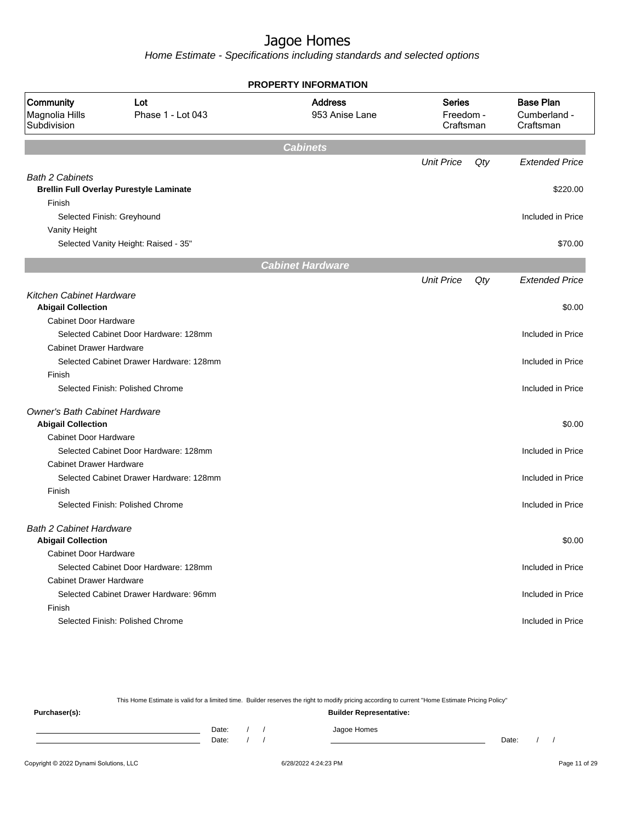Home Estimate - Specifications including standards and selected options

|                                            |                                                | <b>PROPERTY INFORMATION</b>      |                                         |     |                                               |
|--------------------------------------------|------------------------------------------------|----------------------------------|-----------------------------------------|-----|-----------------------------------------------|
| Community<br>Magnolia Hills<br>Subdivision | Lot<br>Phase 1 - Lot 043                       | <b>Address</b><br>953 Anise Lane | <b>Series</b><br>Freedom -<br>Craftsman |     | <b>Base Plan</b><br>Cumberland -<br>Craftsman |
|                                            |                                                | <b>Cabinets</b>                  |                                         |     |                                               |
|                                            |                                                |                                  | <b>Unit Price</b>                       | Qty | <b>Extended Price</b>                         |
| <b>Bath 2 Cabinets</b>                     |                                                |                                  |                                         |     |                                               |
|                                            | <b>Brellin Full Overlay Purestyle Laminate</b> |                                  |                                         |     | \$220.00                                      |
| Finish                                     |                                                |                                  |                                         |     |                                               |
| Selected Finish: Greyhound                 |                                                |                                  |                                         |     | Included in Price                             |
| Vanity Height                              |                                                |                                  |                                         |     |                                               |
|                                            | Selected Vanity Height: Raised - 35"           |                                  |                                         |     | \$70.00                                       |
|                                            |                                                | <b>Cabinet Hardware</b>          |                                         |     |                                               |
|                                            |                                                |                                  | <b>Unit Price</b>                       | Qty | <b>Extended Price</b>                         |
| <b>Kitchen Cabinet Hardware</b>            |                                                |                                  |                                         |     |                                               |
| <b>Abigail Collection</b>                  |                                                |                                  |                                         |     | \$0.00                                        |
| <b>Cabinet Door Hardware</b>               |                                                |                                  |                                         |     |                                               |
|                                            | Selected Cabinet Door Hardware: 128mm          |                                  |                                         |     | Included in Price                             |
| <b>Cabinet Drawer Hardware</b>             |                                                |                                  |                                         |     |                                               |
|                                            | Selected Cabinet Drawer Hardware: 128mm        |                                  |                                         |     | Included in Price                             |
| Finish                                     |                                                |                                  |                                         |     |                                               |
|                                            | Selected Finish: Polished Chrome               |                                  |                                         |     | Included in Price                             |
| <b>Owner's Bath Cabinet Hardware</b>       |                                                |                                  |                                         |     |                                               |
| <b>Abigail Collection</b>                  |                                                |                                  |                                         |     | \$0.00                                        |
| <b>Cabinet Door Hardware</b>               |                                                |                                  |                                         |     |                                               |
|                                            | Selected Cabinet Door Hardware: 128mm          |                                  |                                         |     | Included in Price                             |
| <b>Cabinet Drawer Hardware</b>             |                                                |                                  |                                         |     |                                               |
|                                            | Selected Cabinet Drawer Hardware: 128mm        |                                  |                                         |     | Included in Price                             |
| Finish                                     |                                                |                                  |                                         |     |                                               |
|                                            | Selected Finish: Polished Chrome               |                                  |                                         |     | Included in Price                             |
| <b>Bath 2 Cabinet Hardware</b>             |                                                |                                  |                                         |     |                                               |
| <b>Abigail Collection</b>                  |                                                |                                  |                                         |     | \$0.00                                        |
| <b>Cabinet Door Hardware</b>               |                                                |                                  |                                         |     |                                               |
|                                            | Selected Cabinet Door Hardware: 128mm          |                                  |                                         |     | Included in Price                             |
| <b>Cabinet Drawer Hardware</b>             |                                                |                                  |                                         |     |                                               |
|                                            | Selected Cabinet Drawer Hardware: 96mm         |                                  |                                         |     | Included in Price                             |
| Finish                                     |                                                |                                  |                                         |     |                                               |
|                                            | Selected Finish: Polished Chrome               |                                  |                                         |     | Included in Price                             |
|                                            |                                                |                                  |                                         |     |                                               |

This Home Estimate is valid for a limited time. Builder reserves the right to modify pricing according to current "Home Estimate Pricing Policy"

**Purchaser(s): Builder Representative:** Date: / / Jagoe Homes<br>Date: / / Jagoe Homes Date: / / Date: / /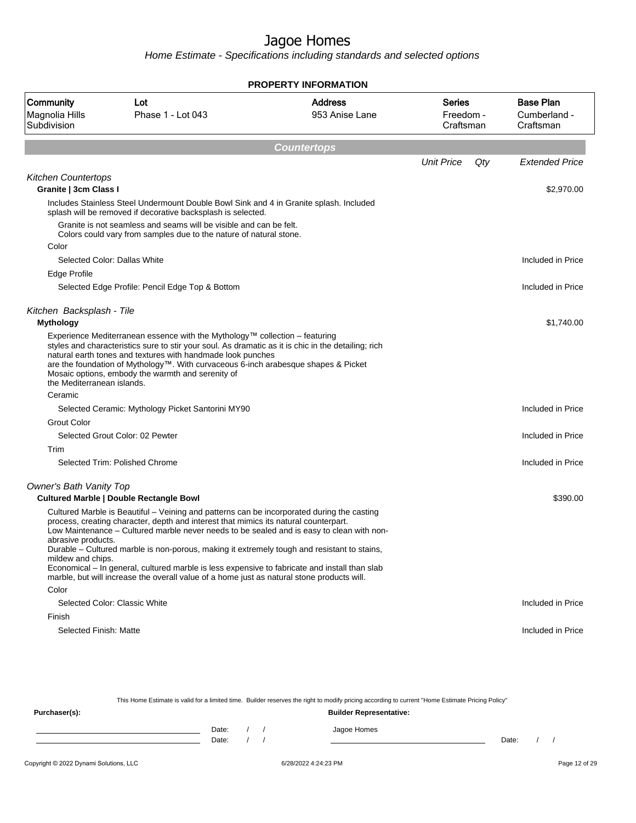Home Estimate - Specifications including standards and selected options

|                                                     |                                                                                                                                                                                                                                                                                                                                                                                                                                                                                                                                                                               | <b>PROPERTY INFORMATION</b>      |                                         |                                               |
|-----------------------------------------------------|-------------------------------------------------------------------------------------------------------------------------------------------------------------------------------------------------------------------------------------------------------------------------------------------------------------------------------------------------------------------------------------------------------------------------------------------------------------------------------------------------------------------------------------------------------------------------------|----------------------------------|-----------------------------------------|-----------------------------------------------|
| Community<br>Magnolia Hills<br>Subdivision          | Lot<br>Phase 1 - Lot 043                                                                                                                                                                                                                                                                                                                                                                                                                                                                                                                                                      | <b>Address</b><br>953 Anise Lane | <b>Series</b><br>Freedom -<br>Craftsman | <b>Base Plan</b><br>Cumberland -<br>Craftsman |
|                                                     |                                                                                                                                                                                                                                                                                                                                                                                                                                                                                                                                                                               | <b>Countertops</b>               |                                         |                                               |
|                                                     |                                                                                                                                                                                                                                                                                                                                                                                                                                                                                                                                                                               |                                  | <b>Unit Price</b><br>Qty                | <b>Extended Price</b>                         |
| <b>Kitchen Countertops</b><br>Granite   3cm Class I |                                                                                                                                                                                                                                                                                                                                                                                                                                                                                                                                                                               |                                  |                                         | \$2,970.00                                    |
|                                                     | Includes Stainless Steel Undermount Double Bowl Sink and 4 in Granite splash. Included<br>splash will be removed if decorative backsplash is selected.                                                                                                                                                                                                                                                                                                                                                                                                                        |                                  |                                         |                                               |
|                                                     | Granite is not seamless and seams will be visible and can be felt.<br>Colors could vary from samples due to the nature of natural stone.                                                                                                                                                                                                                                                                                                                                                                                                                                      |                                  |                                         |                                               |
| Color                                               |                                                                                                                                                                                                                                                                                                                                                                                                                                                                                                                                                                               |                                  |                                         |                                               |
|                                                     | Selected Color: Dallas White                                                                                                                                                                                                                                                                                                                                                                                                                                                                                                                                                  |                                  |                                         | Included in Price                             |
| Edge Profile                                        |                                                                                                                                                                                                                                                                                                                                                                                                                                                                                                                                                                               |                                  |                                         |                                               |
|                                                     | Selected Edge Profile: Pencil Edge Top & Bottom                                                                                                                                                                                                                                                                                                                                                                                                                                                                                                                               |                                  |                                         | Included in Price                             |
| Kitchen Backsplash - Tile                           |                                                                                                                                                                                                                                                                                                                                                                                                                                                                                                                                                                               |                                  |                                         |                                               |
| <b>Mythology</b>                                    |                                                                                                                                                                                                                                                                                                                                                                                                                                                                                                                                                                               |                                  |                                         | \$1,740.00                                    |
| the Mediterranean islands.                          | Experience Mediterranean essence with the Mythology™ collection – featuring<br>styles and characteristics sure to stir your soul. As dramatic as it is chic in the detailing; rich<br>natural earth tones and textures with handmade look punches<br>are the foundation of Mythology™. With curvaceous 6-inch arabesque shapes & Picket<br>Mosaic options, embody the warmth and serenity of                                                                                                                                                                                  |                                  |                                         |                                               |
| Ceramic                                             |                                                                                                                                                                                                                                                                                                                                                                                                                                                                                                                                                                               |                                  |                                         |                                               |
|                                                     | Selected Ceramic: Mythology Picket Santorini MY90                                                                                                                                                                                                                                                                                                                                                                                                                                                                                                                             |                                  |                                         | Included in Price                             |
| <b>Grout Color</b>                                  |                                                                                                                                                                                                                                                                                                                                                                                                                                                                                                                                                                               |                                  |                                         |                                               |
|                                                     | Selected Grout Color: 02 Pewter                                                                                                                                                                                                                                                                                                                                                                                                                                                                                                                                               |                                  |                                         | Included in Price                             |
| Trim                                                |                                                                                                                                                                                                                                                                                                                                                                                                                                                                                                                                                                               |                                  |                                         |                                               |
|                                                     | Selected Trim: Polished Chrome                                                                                                                                                                                                                                                                                                                                                                                                                                                                                                                                                |                                  |                                         | Included in Price                             |
| <b>Owner's Bath Vanity Top</b>                      | <b>Cultured Marble   Double Rectangle Bowl</b>                                                                                                                                                                                                                                                                                                                                                                                                                                                                                                                                |                                  |                                         | \$390.00                                      |
| abrasive products.<br>mildew and chips.             | Cultured Marble is Beautiful – Veining and patterns can be incorporated during the casting<br>process, creating character, depth and interest that mimics its natural counterpart.<br>Low Maintenance – Cultured marble never needs to be sealed and is easy to clean with non-<br>Durable – Cultured marble is non-porous, making it extremely tough and resistant to stains,<br>Economical – In general, cultured marble is less expensive to fabricate and install than slab<br>marble, but will increase the overall value of a home just as natural stone products will. |                                  |                                         |                                               |
| Color                                               |                                                                                                                                                                                                                                                                                                                                                                                                                                                                                                                                                                               |                                  |                                         |                                               |
|                                                     | Selected Color: Classic White                                                                                                                                                                                                                                                                                                                                                                                                                                                                                                                                                 |                                  |                                         | Included in Price                             |
| Finish                                              |                                                                                                                                                                                                                                                                                                                                                                                                                                                                                                                                                                               |                                  |                                         |                                               |
| Selected Finish: Matte                              |                                                                                                                                                                                                                                                                                                                                                                                                                                                                                                                                                                               |                                  |                                         | Included in Price                             |

This Home Estimate is valid for a limited time. Builder reserves the right to modify pricing according to current "Home Estimate Pricing Policy" **Purchaser(s): Builder Representative:** Date: / / Jagoe Homes<br>Date: / / Jagoe Homes Date: / / **Date: / / 2006** Date: / / / Date: / / /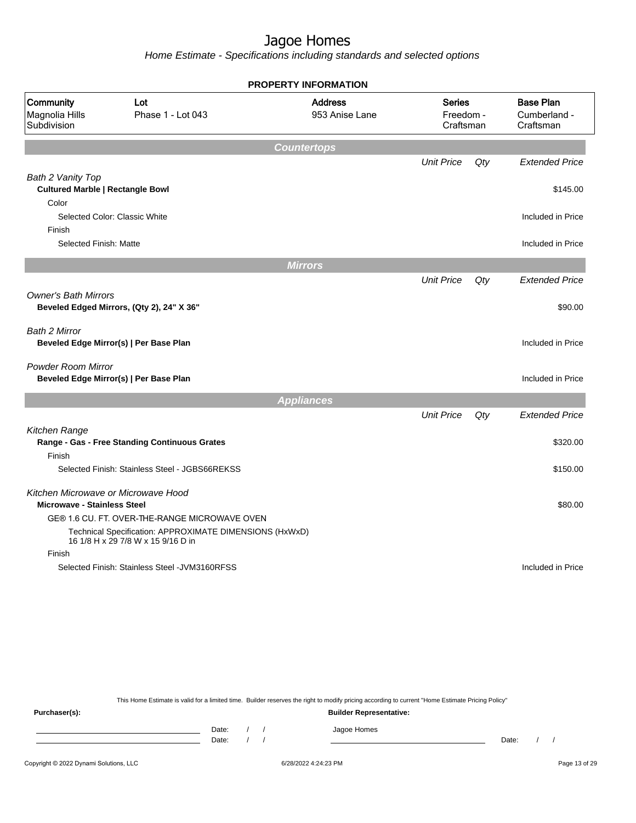Home Estimate - Specifications including standards and selected options

|                                            |                                                                                               | <b>PROPERTY INFORMATION</b>      |                                         |     |                                               |
|--------------------------------------------|-----------------------------------------------------------------------------------------------|----------------------------------|-----------------------------------------|-----|-----------------------------------------------|
| Community<br>Magnolia Hills<br>Subdivision | Lot<br>Phase 1 - Lot 043                                                                      | <b>Address</b><br>953 Anise Lane | <b>Series</b><br>Freedom -<br>Craftsman |     | <b>Base Plan</b><br>Cumberland -<br>Craftsman |
|                                            |                                                                                               | <b>Countertops</b>               |                                         |     |                                               |
|                                            |                                                                                               |                                  | <b>Unit Price</b>                       | Qty | <b>Extended Price</b>                         |
| Bath 2 Vanity Top                          |                                                                                               |                                  |                                         |     |                                               |
| <b>Cultured Marble   Rectangle Bowl</b>    |                                                                                               |                                  |                                         |     | \$145.00                                      |
| Color                                      |                                                                                               |                                  |                                         |     |                                               |
|                                            | Selected Color: Classic White                                                                 |                                  |                                         |     | Included in Price                             |
| Finish                                     |                                                                                               |                                  |                                         |     |                                               |
| Selected Finish: Matte                     |                                                                                               |                                  |                                         |     | Included in Price                             |
|                                            |                                                                                               | <b>Mirrors</b>                   |                                         |     |                                               |
|                                            |                                                                                               |                                  | <b>Unit Price</b>                       | Qty | <b>Extended Price</b>                         |
| <b>Owner's Bath Mirrors</b>                |                                                                                               |                                  |                                         |     |                                               |
|                                            | Beveled Edged Mirrors, (Qty 2), 24" X 36"                                                     |                                  |                                         |     | \$90.00                                       |
|                                            |                                                                                               |                                  |                                         |     |                                               |
| <b>Bath 2 Mirror</b>                       | Beveled Edge Mirror(s)   Per Base Plan                                                        |                                  |                                         |     | Included in Price                             |
|                                            |                                                                                               |                                  |                                         |     |                                               |
| Powder Room Mirror                         |                                                                                               |                                  |                                         |     |                                               |
|                                            | Beveled Edge Mirror(s)   Per Base Plan                                                        |                                  |                                         |     | Included in Price                             |
|                                            |                                                                                               | <b>Appliances</b>                |                                         |     |                                               |
|                                            |                                                                                               |                                  | <b>Unit Price</b>                       | Qty | <b>Extended Price</b>                         |
| Kitchen Range                              |                                                                                               |                                  |                                         |     |                                               |
|                                            | Range - Gas - Free Standing Continuous Grates                                                 |                                  |                                         |     | \$320.00                                      |
| Finish                                     |                                                                                               |                                  |                                         |     |                                               |
|                                            | Selected Finish: Stainless Steel - JGBS66REKSS                                                |                                  |                                         |     | \$150.00                                      |
| Kitchen Microwave or Microwave Hood        |                                                                                               |                                  |                                         |     |                                               |
|                                            |                                                                                               |                                  |                                         |     | \$80.00                                       |
|                                            |                                                                                               |                                  |                                         |     |                                               |
| <b>Microwave - Stainless Steel</b>         | GE® 1.6 CU. FT. OVER-THE-RANGE MICROWAVE OVEN                                                 |                                  |                                         |     |                                               |
|                                            | Technical Specification: APPROXIMATE DIMENSIONS (HxWxD)<br>16 1/8 H x 29 7/8 W x 15 9/16 D in |                                  |                                         |     |                                               |
| Finish                                     |                                                                                               |                                  |                                         |     |                                               |

This Home Estimate is valid for a limited time. Builder reserves the right to modify pricing according to current "Home Estimate Pricing Policy"

**Purchaser(s): Builder Representative:** Date: / / Jagoe Homes<br>Date: / / Jagoe Homes Date: / / Date: / /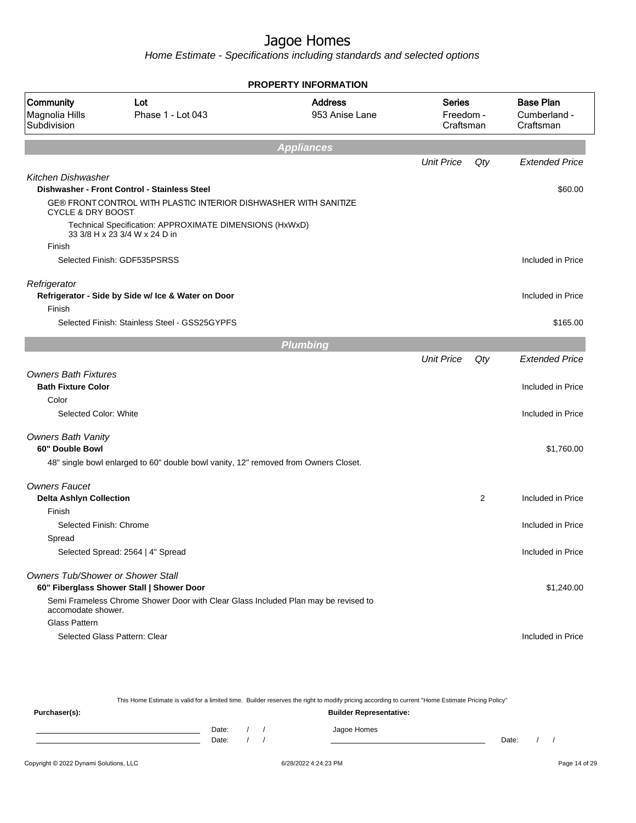|                                            |                                                                                          | <b>PROPERTY INFORMATION</b>      |                                  |     |                                               |
|--------------------------------------------|------------------------------------------------------------------------------------------|----------------------------------|----------------------------------|-----|-----------------------------------------------|
| Community<br>Magnolia Hills<br>Subdivision | Lot<br>Phase 1 - Lot 043                                                                 | <b>Address</b><br>953 Anise Lane | Series<br>Freedom -<br>Craftsman |     | <b>Base Plan</b><br>Cumberland -<br>Craftsman |
|                                            |                                                                                          | <b>Appliances</b>                |                                  |     |                                               |
|                                            |                                                                                          |                                  | <b>Unit Price</b>                | Qty | <b>Extended Price</b>                         |
| <b>Kitchen Dishwasher</b>                  |                                                                                          |                                  |                                  |     |                                               |
|                                            | Dishwasher - Front Control - Stainless Steel                                             |                                  |                                  |     | \$60.00                                       |
| <b>CYCLE &amp; DRY BOOST</b>               | GE® FRONT CONTROL WITH PLASTIC INTERIOR DISHWASHER WITH SANITIZE                         |                                  |                                  |     |                                               |
|                                            | Technical Specification: APPROXIMATE DIMENSIONS (HxWxD)<br>33 3/8 H x 23 3/4 W x 24 D in |                                  |                                  |     |                                               |
| Finish                                     |                                                                                          |                                  |                                  |     |                                               |
|                                            | Selected Finish: GDF535PSRSS                                                             |                                  |                                  |     | Included in Price                             |
| Refrigerator                               | Refrigerator - Side by Side w/ Ice & Water on Door                                       |                                  |                                  |     | Included in Price                             |
| Finish                                     |                                                                                          |                                  |                                  |     |                                               |
|                                            | Selected Finish: Stainless Steel - GSS25GYPFS                                            |                                  |                                  |     | \$165.00                                      |
|                                            |                                                                                          | <b>Plumbing</b>                  |                                  |     |                                               |
|                                            |                                                                                          |                                  | <b>Unit Price</b>                | Qty | <b>Extended Price</b>                         |
| <b>Owners Bath Fixtures</b>                |                                                                                          |                                  |                                  |     |                                               |
| <b>Bath Fixture Color</b>                  |                                                                                          |                                  |                                  |     | Included in Price                             |
| Color                                      |                                                                                          |                                  |                                  |     |                                               |
| Selected Color: White                      |                                                                                          |                                  |                                  |     | Included in Price                             |
| <b>Owners Bath Vanity</b>                  |                                                                                          |                                  |                                  |     |                                               |
| 60" Double Bowl                            |                                                                                          |                                  |                                  |     | \$1,760.00                                    |
|                                            | 48" single bowl enlarged to 60" double bowl vanity, 12" removed from Owners Closet.      |                                  |                                  |     |                                               |
| <b>Owners Faucet</b>                       |                                                                                          |                                  |                                  |     |                                               |
| <b>Delta Ashlyn Collection</b>             |                                                                                          |                                  |                                  | 2   | Included in Price                             |
| Finish                                     |                                                                                          |                                  |                                  |     |                                               |
| Selected Finish: Chrome                    |                                                                                          |                                  |                                  |     | Included in Price                             |
| Spread                                     |                                                                                          |                                  |                                  |     |                                               |
|                                            | Selected Spread: 2564   4" Spread                                                        |                                  |                                  |     | Included in Price                             |
| <b>Owners Tub/Shower or Shower Stall</b>   | 60" Fiberglass Shower Stall   Shower Door                                                |                                  |                                  |     | \$1,240.00                                    |
| accomodate shower.                         | Semi Frameless Chrome Shower Door with Clear Glass Included Plan may be revised to       |                                  |                                  |     |                                               |
| Glass Pattern                              |                                                                                          |                                  |                                  |     |                                               |
|                                            | Selected Glass Pattern: Clear                                                            |                                  |                                  |     | Included in Price                             |
|                                            |                                                                                          |                                  |                                  |     |                                               |

|                                                 |       |  |  |  | This Home Estimate is valid for a limited time. Builder reserves the right to modify pricing according to current "Home Estimate Pricing Policy" |       |  |
|-------------------------------------------------|-------|--|--|--|--------------------------------------------------------------------------------------------------------------------------------------------------|-------|--|
| <b>Builder Representative:</b><br>Purchaser(s): |       |  |  |  |                                                                                                                                                  |       |  |
|                                                 | Date: |  |  |  | Jagoe Homes                                                                                                                                      |       |  |
|                                                 | Date: |  |  |  |                                                                                                                                                  | Date: |  |
|                                                 |       |  |  |  |                                                                                                                                                  |       |  |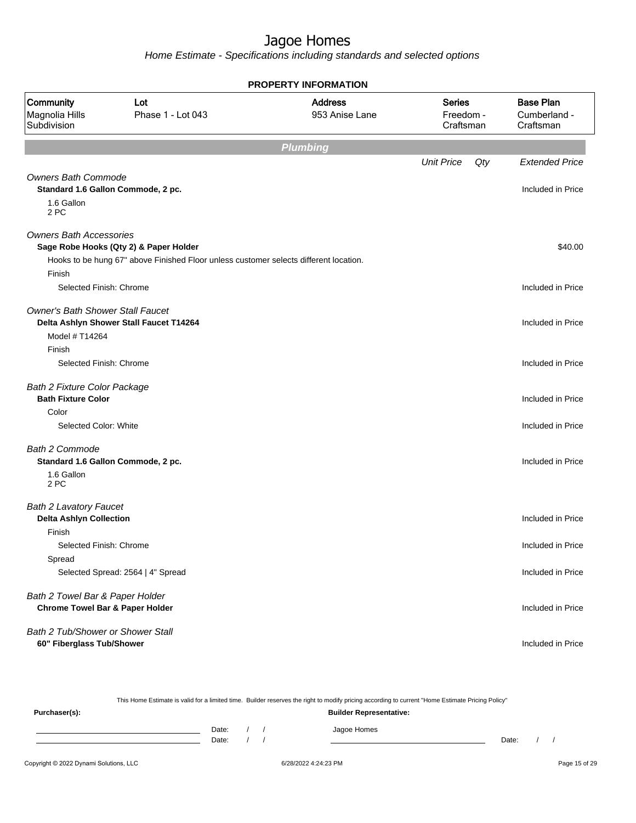|                                                                                |                                                                                       | <b>PROPERTY INFORMATION</b>      |                                         |                                               |
|--------------------------------------------------------------------------------|---------------------------------------------------------------------------------------|----------------------------------|-----------------------------------------|-----------------------------------------------|
| Community<br>Magnolia Hills<br>Subdivision                                     | Lot<br>Phase 1 - Lot 043                                                              | <b>Address</b><br>953 Anise Lane | <b>Series</b><br>Freedom -<br>Craftsman | <b>Base Plan</b><br>Cumberland -<br>Craftsman |
|                                                                                |                                                                                       | <b>Plumbing</b>                  |                                         |                                               |
|                                                                                |                                                                                       |                                  | <b>Unit Price</b><br>Qty                | <b>Extended Price</b>                         |
| <b>Owners Bath Commode</b><br>Standard 1.6 Gallon Commode, 2 pc.<br>1.6 Gallon |                                                                                       |                                  |                                         | Included in Price                             |
| 2 PC                                                                           |                                                                                       |                                  |                                         |                                               |
| <b>Owners Bath Accessories</b>                                                 | Sage Robe Hooks (Qty 2) & Paper Holder                                                |                                  |                                         | \$40.00                                       |
|                                                                                | Hooks to be hung 67" above Finished Floor unless customer selects different location. |                                  |                                         |                                               |
| Finish                                                                         |                                                                                       |                                  |                                         |                                               |
| Selected Finish: Chrome                                                        |                                                                                       |                                  |                                         | Included in Price                             |
| <b>Owner's Bath Shower Stall Faucet</b><br>Model # T14264                      | Delta Ashlyn Shower Stall Faucet T14264                                               |                                  |                                         | Included in Price                             |
| Finish                                                                         |                                                                                       |                                  |                                         |                                               |
| Selected Finish: Chrome                                                        |                                                                                       |                                  |                                         | Included in Price                             |
| <b>Bath 2 Fixture Color Package</b><br><b>Bath Fixture Color</b>               |                                                                                       |                                  |                                         | Included in Price                             |
| Color                                                                          |                                                                                       |                                  |                                         |                                               |
| Selected Color: White                                                          |                                                                                       |                                  |                                         | Included in Price                             |
| <b>Bath 2 Commode</b><br>Standard 1.6 Gallon Commode, 2 pc.                    |                                                                                       |                                  |                                         | Included in Price                             |
| 1.6 Gallon<br>2 PC                                                             |                                                                                       |                                  |                                         |                                               |
| <b>Bath 2 Lavatory Faucet</b><br><b>Delta Ashlyn Collection</b>                |                                                                                       |                                  |                                         | Included in Price                             |
| Finish                                                                         |                                                                                       |                                  |                                         |                                               |
| Selected Finish: Chrome                                                        |                                                                                       |                                  |                                         | Included in Price                             |
| Spread                                                                         | Selected Spread: 2564   4" Spread                                                     |                                  |                                         | Included in Price                             |
|                                                                                |                                                                                       |                                  |                                         |                                               |
| Bath 2 Towel Bar & Paper Holder<br><b>Chrome Towel Bar &amp; Paper Holder</b>  |                                                                                       |                                  |                                         | Included in Price                             |
| Bath 2 Tub/Shower or Shower Stall                                              |                                                                                       |                                  |                                         |                                               |
| 60" Fiberglass Tub/Shower                                                      |                                                                                       |                                  |                                         | Included in Price                             |

|               |       |  | This Home Estimate is valid for a limited time. Builder reserves the right to modify pricing according to current "Home Estimate Pricing Policy" |       |  |
|---------------|-------|--|--------------------------------------------------------------------------------------------------------------------------------------------------|-------|--|
| Purchaser(s): |       |  | <b>Builder Representative:</b>                                                                                                                   |       |  |
|               | Date: |  | Jagoe Homes                                                                                                                                      |       |  |
|               | Date: |  |                                                                                                                                                  | Date: |  |
|               |       |  |                                                                                                                                                  |       |  |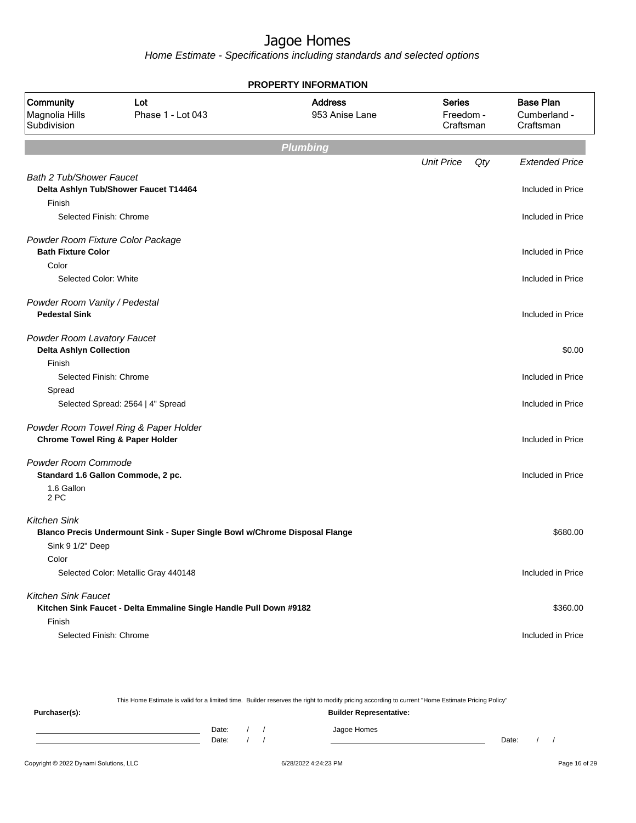Home Estimate - Specifications including standards and selected options

|                                                                |                                                                            | <b>PROPERTY INFORMATION</b>      |                                         |     |                                               |
|----------------------------------------------------------------|----------------------------------------------------------------------------|----------------------------------|-----------------------------------------|-----|-----------------------------------------------|
| Community<br>Magnolia Hills<br>Subdivision                     | Lot<br>Phase 1 - Lot 043                                                   | <b>Address</b><br>953 Anise Lane | <b>Series</b><br>Freedom -<br>Craftsman |     | <b>Base Plan</b><br>Cumberland -<br>Craftsman |
|                                                                |                                                                            | <b>Plumbing</b>                  |                                         |     |                                               |
|                                                                |                                                                            |                                  | <b>Unit Price</b>                       | Qty | <b>Extended Price</b>                         |
| <b>Bath 2 Tub/Shower Faucet</b>                                | Delta Ashlyn Tub/Shower Faucet T14464                                      |                                  |                                         |     | Included in Price                             |
| Finish                                                         |                                                                            |                                  |                                         |     |                                               |
| Selected Finish: Chrome                                        |                                                                            |                                  |                                         |     | Included in Price                             |
| Powder Room Fixture Color Package<br><b>Bath Fixture Color</b> |                                                                            |                                  |                                         |     | Included in Price                             |
| Color                                                          |                                                                            |                                  |                                         |     |                                               |
| Selected Color: White                                          |                                                                            |                                  |                                         |     | Included in Price                             |
| Powder Room Vanity / Pedestal<br><b>Pedestal Sink</b>          |                                                                            |                                  |                                         |     | Included in Price                             |
| Powder Room Lavatory Faucet<br><b>Delta Ashlyn Collection</b>  |                                                                            |                                  |                                         |     | \$0.00                                        |
| Finish<br>Selected Finish: Chrome                              |                                                                            |                                  |                                         |     | Included in Price                             |
| Spread                                                         |                                                                            |                                  |                                         |     |                                               |
|                                                                | Selected Spread: 2564   4" Spread                                          |                                  |                                         |     | Included in Price                             |
| <b>Chrome Towel Ring &amp; Paper Holder</b>                    | Powder Room Towel Ring & Paper Holder                                      |                                  |                                         |     | Included in Price                             |
| Powder Room Commode                                            | Standard 1.6 Gallon Commode, 2 pc.                                         |                                  |                                         |     | Included in Price                             |
| 1.6 Gallon<br>2 PC                                             |                                                                            |                                  |                                         |     |                                               |
| <b>Kitchen Sink</b>                                            | Blanco Precis Undermount Sink - Super Single Bowl w/Chrome Disposal Flange |                                  |                                         |     | \$680.00                                      |
| Sink 9 1/2" Deep                                               |                                                                            |                                  |                                         |     |                                               |
| Color                                                          |                                                                            |                                  |                                         |     |                                               |
|                                                                | Selected Color: Metallic Gray 440148                                       |                                  |                                         |     | Included in Price                             |
| <b>Kitchen Sink Faucet</b>                                     |                                                                            |                                  |                                         |     |                                               |
|                                                                | Kitchen Sink Faucet - Delta Emmaline Single Handle Pull Down #9182         |                                  |                                         |     | \$360.00                                      |
| Finish                                                         |                                                                            |                                  |                                         |     |                                               |
| Selected Finish: Chrome                                        |                                                                            |                                  |                                         |     | Included in Price                             |

This Home Estimate is valid for a limited time. Builder reserves the right to modify pricing according to current "Home Estimate Pricing Policy" **Purchaser(s): Builder Representative:** Date: / / Jagoe Homes<br>Date: / / Jagoe Homes Date: / / Date: / /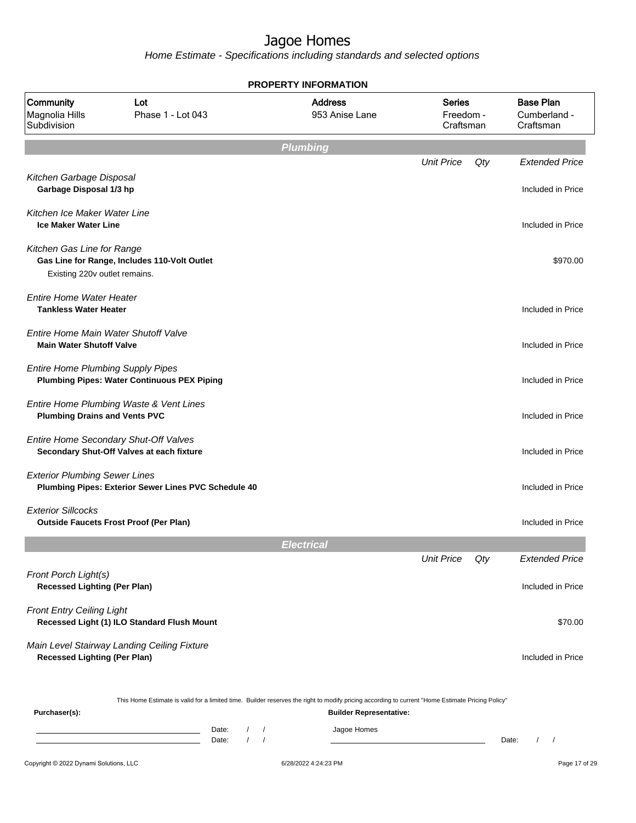|                                                                         |                                                                                                                                                                                    |                            |          | <b>PROPERTY INFORMATION</b>      |                   |                        |                                               |
|-------------------------------------------------------------------------|------------------------------------------------------------------------------------------------------------------------------------------------------------------------------------|----------------------------|----------|----------------------------------|-------------------|------------------------|-----------------------------------------------|
| Community<br>Magnolia Hills<br>Subdivision                              | Lot<br>Phase 1 - Lot 043                                                                                                                                                           |                            |          | <b>Address</b><br>953 Anise Lane | <b>Series</b>     | Freedom -<br>Craftsman | <b>Base Plan</b><br>Cumberland -<br>Craftsman |
|                                                                         |                                                                                                                                                                                    |                            |          | <b>Plumbing</b>                  |                   |                        |                                               |
| Kitchen Garbage Disposal<br>Garbage Disposal 1/3 hp                     |                                                                                                                                                                                    |                            |          |                                  | <b>Unit Price</b> | Qty                    | <b>Extended Price</b><br>Included in Price    |
| Kitchen Ice Maker Water Line<br><b>Ice Maker Water Line</b>             |                                                                                                                                                                                    |                            |          |                                  |                   |                        | Included in Price                             |
| Kitchen Gas Line for Range<br>Existing 220v outlet remains.             | Gas Line for Range, Includes 110-Volt Outlet                                                                                                                                       |                            |          |                                  |                   |                        | \$970.00                                      |
| <b>Entire Home Water Heater</b><br><b>Tankless Water Heater</b>         |                                                                                                                                                                                    |                            |          |                                  |                   |                        | Included in Price                             |
| Entire Home Main Water Shutoff Valve<br><b>Main Water Shutoff Valve</b> |                                                                                                                                                                                    |                            |          |                                  |                   |                        | Included in Price                             |
| <b>Entire Home Plumbing Supply Pipes</b>                                | <b>Plumbing Pipes: Water Continuous PEX Piping</b>                                                                                                                                 |                            |          |                                  |                   |                        | Included in Price                             |
| <b>Plumbing Drains and Vents PVC</b>                                    | Entire Home Plumbing Waste & Vent Lines                                                                                                                                            |                            |          |                                  |                   |                        | Included in Price                             |
|                                                                         | Entire Home Secondary Shut-Off Valves<br>Secondary Shut-Off Valves at each fixture                                                                                                 |                            |          |                                  |                   |                        | Included in Price                             |
| <b>Exterior Plumbing Sewer Lines</b>                                    | Plumbing Pipes: Exterior Sewer Lines PVC Schedule 40                                                                                                                               |                            |          |                                  |                   |                        | Included in Price                             |
| <b>Exterior Sillcocks</b>                                               | <b>Outside Faucets Frost Proof (Per Plan)</b>                                                                                                                                      |                            |          |                                  |                   |                        | Included in Price                             |
|                                                                         |                                                                                                                                                                                    |                            |          | <b>Electrical</b>                |                   |                        |                                               |
|                                                                         |                                                                                                                                                                                    |                            |          |                                  | <b>Unit Price</b> | Qty                    | <b>Extended Price</b>                         |
| Front Porch Light(s)<br><b>Recessed Lighting (Per Plan)</b>             |                                                                                                                                                                                    |                            |          |                                  |                   |                        | Included in Price                             |
| <b>Front Entry Ceiling Light</b>                                        | Recessed Light (1) ILO Standard Flush Mount                                                                                                                                        |                            |          |                                  |                   |                        | \$70.00                                       |
| <b>Recessed Lighting (Per Plan)</b>                                     | Main Level Stairway Landing Ceiling Fixture                                                                                                                                        |                            |          |                                  |                   |                        | Included in Price                             |
| Purchaser(s):                                                           | This Home Estimate is valid for a limited time. Builder reserves the right to modify pricing according to current "Home Estimate Pricing Policy"                                   |                            |          | <b>Builder Representative:</b>   |                   |                        |                                               |
|                                                                         | <u> 1989 - Johann Barn, mars ann an t-Amhair an t-Amhair an t-Amhair an t-Amhair an t-Amhair an t-Amhair an t-A</u><br>the control of the control of the control of the control of | Date:<br>$\prime$<br>Date: | $\prime$ | Jagoe Homes                      |                   |                        | Date:<br>$\prime$<br>$\sqrt{ }$               |
| Copyright © 2022 Dynami Solutions, LLC                                  |                                                                                                                                                                                    |                            |          | 6/28/2022 4:24:23 PM             |                   |                        | Page 17 of 29                                 |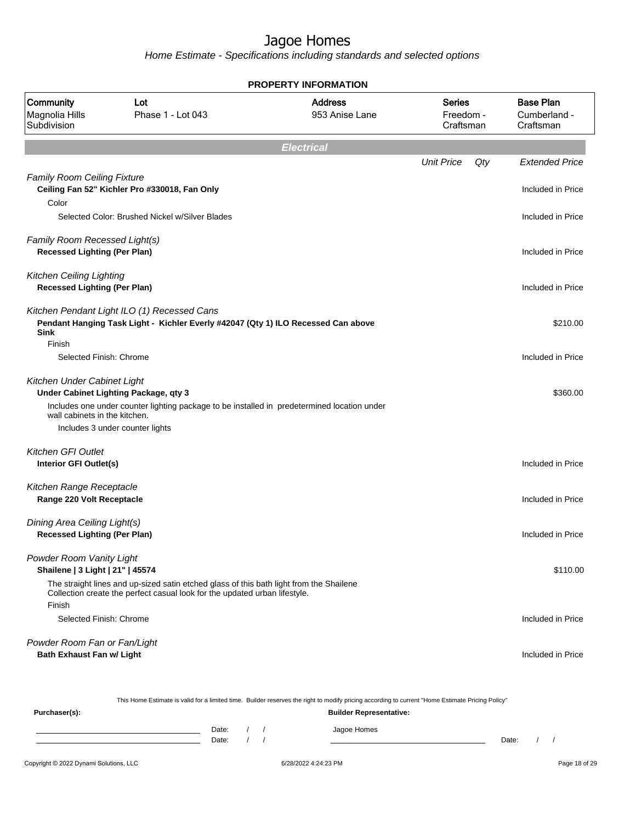Home Estimate - Specifications including standards and selected options

|                                                                        |                                                                                                                                                                         | <b>PROPERTY INFORMATION</b>      |                                         |                                               |
|------------------------------------------------------------------------|-------------------------------------------------------------------------------------------------------------------------------------------------------------------------|----------------------------------|-----------------------------------------|-----------------------------------------------|
| Community<br>Magnolia Hills<br>Subdivision                             | Lot<br>Phase 1 - Lot 043                                                                                                                                                | <b>Address</b><br>953 Anise Lane | <b>Series</b><br>Freedom -<br>Craftsman | <b>Base Plan</b><br>Cumberland -<br>Craftsman |
|                                                                        |                                                                                                                                                                         | <b>Electrical</b>                |                                         |                                               |
|                                                                        |                                                                                                                                                                         |                                  | <b>Unit Price</b><br>$Q$ ty             | <b>Extended Price</b>                         |
| <b>Family Room Ceiling Fixture</b><br>Color                            | Ceiling Fan 52" Kichler Pro #330018, Fan Only                                                                                                                           |                                  |                                         | Included in Price                             |
|                                                                        | Selected Color: Brushed Nickel w/Silver Blades                                                                                                                          |                                  |                                         | Included in Price                             |
| Family Room Recessed Light(s)<br><b>Recessed Lighting (Per Plan)</b>   |                                                                                                                                                                         |                                  |                                         | Included in Price                             |
| <b>Kitchen Ceiling Lighting</b><br><b>Recessed Lighting (Per Plan)</b> |                                                                                                                                                                         |                                  |                                         | Included in Price                             |
| <b>Sink</b>                                                            | Kitchen Pendant Light ILO (1) Recessed Cans<br>Pendant Hanging Task Light - Kichler Everly #42047 (Qty 1) ILO Recessed Can above                                        |                                  |                                         | \$210.00                                      |
| Finish<br>Selected Finish: Chrome                                      |                                                                                                                                                                         |                                  |                                         | Included in Price                             |
| Kitchen Under Cabinet Light<br>wall cabinets in the kitchen.           | Under Cabinet Lighting Package, qty 3<br>Includes one under counter lighting package to be installed in predetermined location under<br>Includes 3 under counter lights |                                  |                                         | \$360.00                                      |
| Kitchen GFI Outlet<br>Interior GFI Outlet(s)                           |                                                                                                                                                                         |                                  |                                         | Included in Price                             |
| Kitchen Range Receptacle<br>Range 220 Volt Receptacle                  |                                                                                                                                                                         |                                  |                                         | Included in Price                             |
| Dining Area Ceiling Light(s)<br><b>Recessed Lighting (Per Plan)</b>    |                                                                                                                                                                         |                                  |                                         | Included in Price                             |
| Powder Room Vanity Light<br>Shailene   3 Light   21"   45574           | The straight lines and up-sized satin etched glass of this bath light from the Shailene<br>Collection create the perfect casual look for the updated urban lifestyle.   |                                  |                                         | \$110.00                                      |
| Finish<br>Selected Finish: Chrome                                      |                                                                                                                                                                         |                                  |                                         | Included in Price                             |
| Powder Room Fan or Fan/Light<br><b>Bath Exhaust Fan w/ Light</b>       |                                                                                                                                                                         |                                  |                                         | Included in Price                             |

This Home Estimate is valid for a limited time. Builder reserves the right to modify pricing according to current "Home Estimate Pricing Policy"

| Purchaser(s): |                |  | .<br>____<br><b>Builder Representative:</b> |       |  |
|---------------|----------------|--|---------------------------------------------|-------|--|
|               | Date:<br>Date: |  | Jagoe Homes                                 | Date: |  |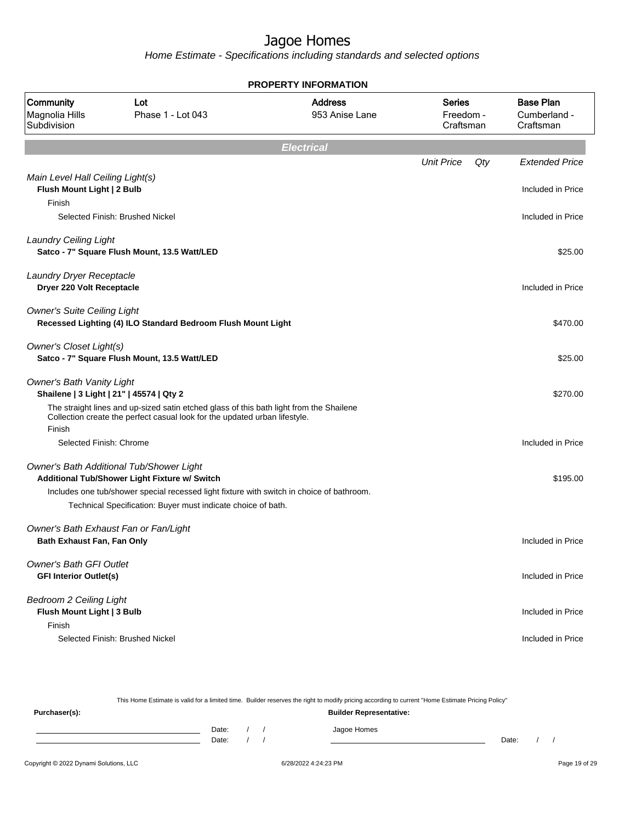|                                                                        |                                                                                                                                                                                        | <b>PROPERTY INFORMATION</b>      |                                  |                                               |
|------------------------------------------------------------------------|----------------------------------------------------------------------------------------------------------------------------------------------------------------------------------------|----------------------------------|----------------------------------|-----------------------------------------------|
| Community<br>Magnolia Hills<br>Subdivision                             | Lot<br>Phase 1 - Lot 043                                                                                                                                                               | <b>Address</b><br>953 Anise Lane | Series<br>Freedom -<br>Craftsman | <b>Base Plan</b><br>Cumberland -<br>Craftsman |
|                                                                        |                                                                                                                                                                                        | <b>Electrical</b>                |                                  |                                               |
|                                                                        |                                                                                                                                                                                        |                                  | <b>Unit Price</b><br>Qty         | <b>Extended Price</b>                         |
| Main Level Hall Ceiling Light(s)<br>Flush Mount Light   2 Bulb         |                                                                                                                                                                                        |                                  |                                  | Included in Price                             |
| Finish                                                                 | Selected Finish: Brushed Nickel                                                                                                                                                        |                                  |                                  | Included in Price                             |
| <b>Laundry Ceiling Light</b>                                           | Satco - 7" Square Flush Mount, 13.5 Watt/LED                                                                                                                                           |                                  |                                  | \$25.00                                       |
| Laundry Dryer Receptacle<br>Dryer 220 Volt Receptacle                  |                                                                                                                                                                                        |                                  |                                  | Included in Price                             |
| <b>Owner's Suite Ceiling Light</b>                                     | Recessed Lighting (4) ILO Standard Bedroom Flush Mount Light                                                                                                                           |                                  |                                  | \$470.00                                      |
| <b>Owner's Closet Light(s)</b>                                         | Satco - 7" Square Flush Mount, 13.5 Watt/LED                                                                                                                                           |                                  |                                  | \$25.00                                       |
| <b>Owner's Bath Vanity Light</b>                                       | Shailene   3 Light   21"   45574   Qty 2                                                                                                                                               |                                  |                                  | \$270.00                                      |
| Finish                                                                 | The straight lines and up-sized satin etched glass of this bath light from the Shailene<br>Collection create the perfect casual look for the updated urban lifestyle.                  |                                  |                                  |                                               |
| Selected Finish: Chrome                                                |                                                                                                                                                                                        |                                  |                                  | Included in Price                             |
|                                                                        | Owner's Bath Additional Tub/Shower Light<br>Additional Tub/Shower Light Fixture w/ Switch<br>Includes one tub/shower special recessed light fixture with switch in choice of bathroom. |                                  |                                  | \$195.00                                      |
|                                                                        | Technical Specification: Buyer must indicate choice of bath.                                                                                                                           |                                  |                                  |                                               |
| Bath Exhaust Fan, Fan Only                                             | Owner's Bath Exhaust Fan or Fan/Light                                                                                                                                                  |                                  |                                  | Included in Price                             |
| <b>Owner's Bath GFI Outlet</b><br><b>GFI Interior Outlet(s)</b>        |                                                                                                                                                                                        |                                  |                                  | Included in Price                             |
| <b>Bedroom 2 Ceiling Light</b><br>Flush Mount Light   3 Bulb<br>Finish |                                                                                                                                                                                        |                                  |                                  | Included in Price                             |
|                                                                        | Selected Finish: Brushed Nickel                                                                                                                                                        |                                  |                                  | Included in Price                             |

|                                        |                |  | This Home Estimate is valid for a limited time. Builder reserves the right to modify pricing according to current "Home Estimate Pricing Policy" |       |  |               |
|----------------------------------------|----------------|--|--------------------------------------------------------------------------------------------------------------------------------------------------|-------|--|---------------|
| Purchaser(s):                          |                |  | <b>Builder Representative:</b>                                                                                                                   |       |  |               |
|                                        | Date:<br>Date: |  | Jagoe Homes                                                                                                                                      | Date: |  |               |
| Copyright © 2022 Dynami Solutions, LLC |                |  | 6/28/2022 4:24:23 PM                                                                                                                             |       |  | Page 19 of 29 |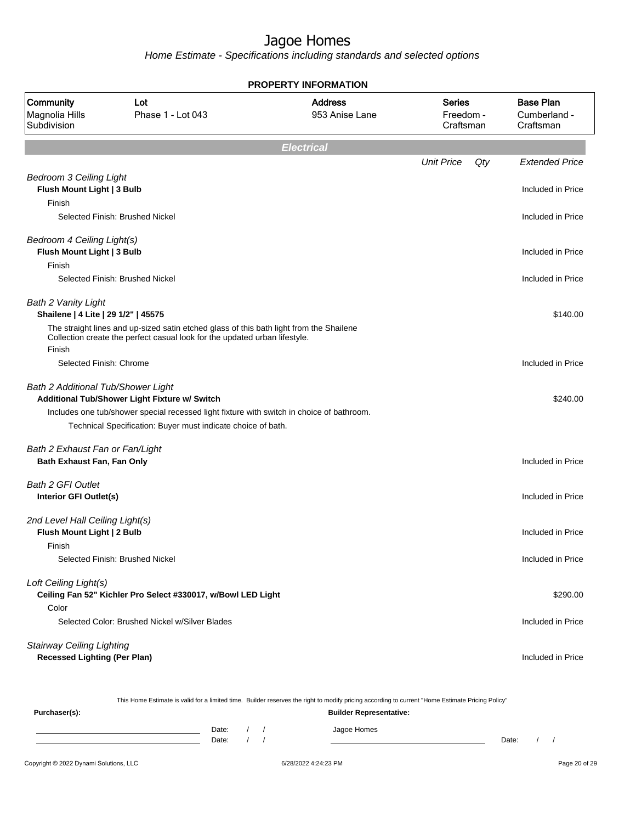Home Estimate - Specifications including standards and selected options

|                                                                         |                                                                                                                                                                       | <b>PROPERTY INFORMATION</b>      |                                         |     |                                               |
|-------------------------------------------------------------------------|-----------------------------------------------------------------------------------------------------------------------------------------------------------------------|----------------------------------|-----------------------------------------|-----|-----------------------------------------------|
| Community<br>Magnolia Hills<br>Subdivision                              | Lot<br>Phase 1 - Lot 043                                                                                                                                              | <b>Address</b><br>953 Anise Lane | <b>Series</b><br>Freedom -<br>Craftsman |     | <b>Base Plan</b><br>Cumberland -<br>Craftsman |
|                                                                         |                                                                                                                                                                       | <b>Electrical</b>                |                                         |     |                                               |
|                                                                         |                                                                                                                                                                       |                                  | <b>Unit Price</b>                       | Qty | <b>Extended Price</b>                         |
| <b>Bedroom 3 Ceiling Light</b><br>Flush Mount Light   3 Bulb<br>Finish  |                                                                                                                                                                       |                                  |                                         |     | Included in Price                             |
|                                                                         | Selected Finish: Brushed Nickel                                                                                                                                       |                                  |                                         |     | Included in Price                             |
| Bedroom 4 Ceiling Light(s)<br>Flush Mount Light   3 Bulb                |                                                                                                                                                                       |                                  |                                         |     | Included in Price                             |
| Finish                                                                  | Selected Finish: Brushed Nickel                                                                                                                                       |                                  |                                         |     | Included in Price                             |
| <b>Bath 2 Vanity Light</b><br>Shailene   4 Lite   29 1/2"   45575       |                                                                                                                                                                       |                                  |                                         |     | \$140.00                                      |
| Finish                                                                  | The straight lines and up-sized satin etched glass of this bath light from the Shailene<br>Collection create the perfect casual look for the updated urban lifestyle. |                                  |                                         |     |                                               |
| Selected Finish: Chrome                                                 |                                                                                                                                                                       |                                  |                                         |     | Included in Price                             |
| Bath 2 Additional Tub/Shower Light                                      | Additional Tub/Shower Light Fixture w/ Switch                                                                                                                         |                                  |                                         |     | \$240.00                                      |
|                                                                         | Includes one tub/shower special recessed light fixture with switch in choice of bathroom.                                                                             |                                  |                                         |     |                                               |
|                                                                         | Technical Specification: Buyer must indicate choice of bath.                                                                                                          |                                  |                                         |     |                                               |
| Bath 2 Exhaust Fan or Fan/Light<br><b>Bath Exhaust Fan, Fan Only</b>    |                                                                                                                                                                       |                                  |                                         |     | Included in Price                             |
| <b>Bath 2 GFI Outlet</b><br>Interior GFI Outlet(s)                      |                                                                                                                                                                       |                                  |                                         |     | Included in Price                             |
| 2nd Level Hall Ceiling Light(s)<br>Flush Mount Light   2 Bulb           |                                                                                                                                                                       |                                  |                                         |     | Included in Price                             |
| Finish                                                                  | Selected Finish: Brushed Nickel                                                                                                                                       |                                  |                                         |     | Included in Price                             |
| Loft Ceiling Light(s)                                                   | Ceiling Fan 52" Kichler Pro Select #330017, w/Bowl LED Light                                                                                                          |                                  |                                         |     | \$290.00                                      |
| Color                                                                   | Selected Color: Brushed Nickel w/Silver Blades                                                                                                                        |                                  |                                         |     | Included in Price                             |
| <b>Stairway Ceiling Lighting</b><br><b>Recessed Lighting (Per Plan)</b> |                                                                                                                                                                       |                                  |                                         |     | Included in Price                             |

This Home Estimate is valid for a limited time. Builder reserves the right to modify pricing according to current "Home Estimate Pricing Policy"

**Purchaser(s): Builder Representative:** Date: / / Jagoe Homes<br>Date: / / Jagoe Homes Date: / / Date: / /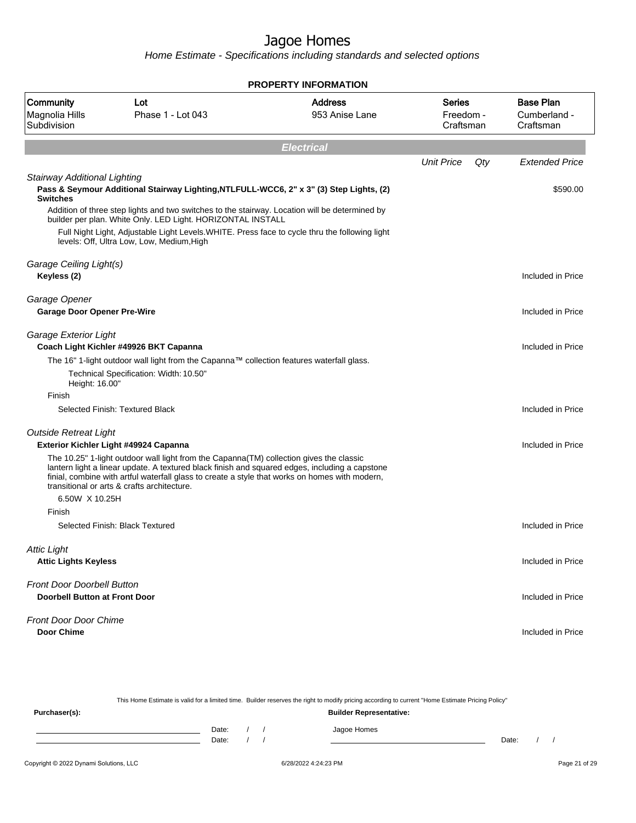|                                                   |                                                                                                                                                                                                                                                                                                                                             | <b>PROPERTY INFORMATION</b>      |                                         |                                               |
|---------------------------------------------------|---------------------------------------------------------------------------------------------------------------------------------------------------------------------------------------------------------------------------------------------------------------------------------------------------------------------------------------------|----------------------------------|-----------------------------------------|-----------------------------------------------|
| Community<br>Magnolia Hills<br>Subdivision        | Lot<br>Phase 1 - Lot 043                                                                                                                                                                                                                                                                                                                    | <b>Address</b><br>953 Anise Lane | <b>Series</b><br>Freedom -<br>Craftsman | <b>Base Plan</b><br>Cumberland -<br>Craftsman |
|                                                   |                                                                                                                                                                                                                                                                                                                                             | <b>Electrical</b>                |                                         |                                               |
|                                                   |                                                                                                                                                                                                                                                                                                                                             |                                  | <b>Unit Price</b>                       | Qty<br><b>Extended Price</b>                  |
| Stairway Additional Lighting<br><b>Switches</b>   | Pass & Seymour Additional Stairway Lighting, NTLFULL-WCC6, 2" x 3" (3) Step Lights, (2)                                                                                                                                                                                                                                                     |                                  |                                         | \$590.00                                      |
|                                                   | Addition of three step lights and two switches to the stairway. Location will be determined by<br>builder per plan. White Only. LED Light. HORIZONTAL INSTALL                                                                                                                                                                               |                                  |                                         |                                               |
|                                                   | Full Night Light, Adjustable Light Levels. WHITE. Press face to cycle thru the following light<br>levels: Off, Ultra Low, Low, Medium, High                                                                                                                                                                                                 |                                  |                                         |                                               |
| Garage Ceiling Light(s)                           |                                                                                                                                                                                                                                                                                                                                             |                                  |                                         |                                               |
| Keyless (2)                                       |                                                                                                                                                                                                                                                                                                                                             |                                  |                                         | Included in Price                             |
| Garage Opener                                     |                                                                                                                                                                                                                                                                                                                                             |                                  |                                         |                                               |
| <b>Garage Door Opener Pre-Wire</b>                |                                                                                                                                                                                                                                                                                                                                             |                                  |                                         | Included in Price                             |
| Garage Exterior Light                             | Coach Light Kichler #49926 BKT Capanna                                                                                                                                                                                                                                                                                                      |                                  |                                         | Included in Price                             |
|                                                   | The 16" 1-light outdoor wall light from the Capanna™ collection features waterfall glass.                                                                                                                                                                                                                                                   |                                  |                                         |                                               |
| Height: 16.00"                                    | Technical Specification: Width: 10.50"                                                                                                                                                                                                                                                                                                      |                                  |                                         |                                               |
| Finish                                            |                                                                                                                                                                                                                                                                                                                                             |                                  |                                         |                                               |
|                                                   | Selected Finish: Textured Black                                                                                                                                                                                                                                                                                                             |                                  |                                         | Included in Price                             |
| <b>Outside Retreat Light</b>                      | Exterior Kichler Light #49924 Capanna                                                                                                                                                                                                                                                                                                       |                                  |                                         | Included in Price                             |
|                                                   | The 10.25" 1-light outdoor wall light from the Capanna (TM) collection gives the classic<br>lantern light a linear update. A textured black finish and squared edges, including a capstone<br>finial, combine with artful waterfall glass to create a style that works on homes with modern,<br>transitional or arts & crafts architecture. |                                  |                                         |                                               |
| 6.50W X 10.25H                                    |                                                                                                                                                                                                                                                                                                                                             |                                  |                                         |                                               |
| Finish                                            |                                                                                                                                                                                                                                                                                                                                             |                                  |                                         |                                               |
|                                                   | Selected Finish: Black Textured                                                                                                                                                                                                                                                                                                             |                                  |                                         | Included in Price                             |
| <b>Attic Light</b><br><b>Attic Lights Keyless</b> |                                                                                                                                                                                                                                                                                                                                             |                                  |                                         | Included in Price                             |
| <b>Front Door Doorbell Button</b>                 |                                                                                                                                                                                                                                                                                                                                             |                                  |                                         |                                               |
| <b>Doorbell Button at Front Door</b>              |                                                                                                                                                                                                                                                                                                                                             |                                  |                                         | Included in Price                             |
| <b>Front Door Door Chime</b>                      |                                                                                                                                                                                                                                                                                                                                             |                                  |                                         |                                               |
| <b>Door Chime</b>                                 |                                                                                                                                                                                                                                                                                                                                             |                                  |                                         | Included in Price                             |
|                                                   |                                                                                                                                                                                                                                                                                                                                             |                                  |                                         |                                               |

|               |       |  | This Home Estimate is valid for a limited time. Builder reserves the right to modify pricing according to current "Home Estimate Pricing Policy" |       |  |
|---------------|-------|--|--------------------------------------------------------------------------------------------------------------------------------------------------|-------|--|
| Purchaser(s): |       |  | <b>Builder Representative:</b>                                                                                                                   |       |  |
|               | Date: |  | Jagoe Homes                                                                                                                                      |       |  |
|               | Date: |  |                                                                                                                                                  | Date: |  |
|               |       |  |                                                                                                                                                  |       |  |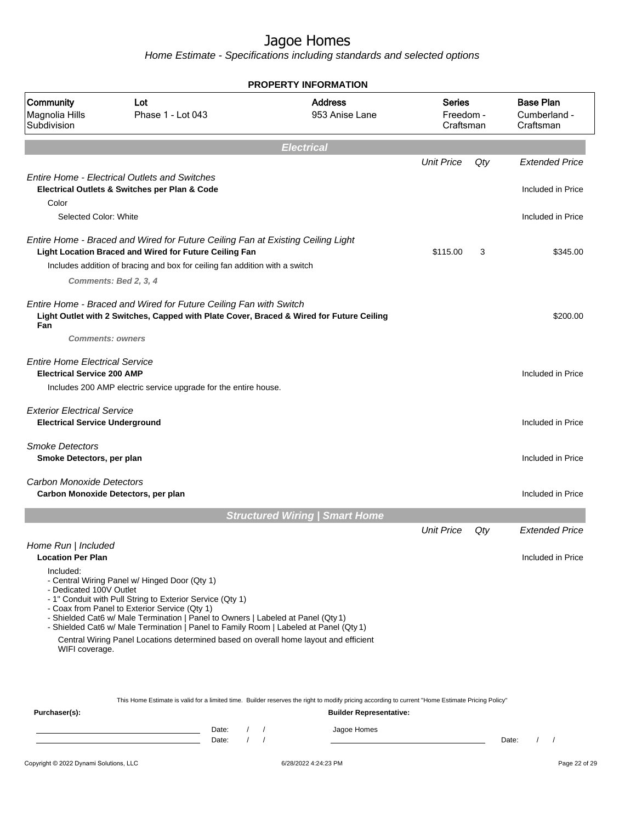Home Estimate - Specifications including standards and selected options

|                                                                                    |                                                                                                                                                                                                                                                                                                                                                                                                                                  | <b>PROPERTY INFORMATION</b>           |                                         |     |                                               |
|------------------------------------------------------------------------------------|----------------------------------------------------------------------------------------------------------------------------------------------------------------------------------------------------------------------------------------------------------------------------------------------------------------------------------------------------------------------------------------------------------------------------------|---------------------------------------|-----------------------------------------|-----|-----------------------------------------------|
| Community<br>Magnolia Hills<br>Subdivision                                         | Lot<br>Phase 1 - Lot 043                                                                                                                                                                                                                                                                                                                                                                                                         | <b>Address</b><br>953 Anise Lane      | <b>Series</b><br>Freedom -<br>Craftsman |     | <b>Base Plan</b><br>Cumberland -<br>Craftsman |
|                                                                                    |                                                                                                                                                                                                                                                                                                                                                                                                                                  | <b>Electrical</b>                     |                                         |     |                                               |
|                                                                                    |                                                                                                                                                                                                                                                                                                                                                                                                                                  |                                       | <b>Unit Price</b>                       | Qty | <b>Extended Price</b>                         |
|                                                                                    | <b>Entire Home - Electrical Outlets and Switches</b><br>Electrical Outlets & Switches per Plan & Code                                                                                                                                                                                                                                                                                                                            |                                       |                                         |     | Included in Price                             |
| Color<br>Selected Color: White                                                     |                                                                                                                                                                                                                                                                                                                                                                                                                                  |                                       |                                         |     | Included in Price                             |
|                                                                                    | Entire Home - Braced and Wired for Future Ceiling Fan at Existing Ceiling Light<br>Light Location Braced and Wired for Future Ceiling Fan<br>Includes addition of bracing and box for ceiling fan addition with a switch<br>Comments: Bed 2, 3, 4                                                                                                                                                                                |                                       | \$115.00                                | 3   | \$345.00                                      |
| Fan<br><b>Comments: owners</b>                                                     | Entire Home - Braced and Wired for Future Ceiling Fan with Switch<br>Light Outlet with 2 Switches, Capped with Plate Cover, Braced & Wired for Future Ceiling                                                                                                                                                                                                                                                                    |                                       |                                         |     | \$200.00                                      |
| <b>Entire Home Electrical Service</b><br><b>Electrical Service 200 AMP</b>         | Includes 200 AMP electric service upgrade for the entire house.                                                                                                                                                                                                                                                                                                                                                                  |                                       |                                         |     | Included in Price                             |
| <b>Exterior Electrical Service</b><br><b>Electrical Service Underground</b>        |                                                                                                                                                                                                                                                                                                                                                                                                                                  |                                       |                                         |     | Included in Price                             |
| <b>Smoke Detectors</b><br>Smoke Detectors, per plan                                |                                                                                                                                                                                                                                                                                                                                                                                                                                  |                                       |                                         |     | Included in Price                             |
| Carbon Monoxide Detectors                                                          | Carbon Monoxide Detectors, per plan                                                                                                                                                                                                                                                                                                                                                                                              |                                       |                                         |     | Included in Price                             |
|                                                                                    |                                                                                                                                                                                                                                                                                                                                                                                                                                  | <b>Structured Wiring   Smart Home</b> |                                         |     |                                               |
| Home Run   Included                                                                |                                                                                                                                                                                                                                                                                                                                                                                                                                  |                                       | <b>Unit Price</b>                       | Qty | <b>Extended Price</b>                         |
| <b>Location Per Plan</b><br>Included:<br>- Dedicated 100V Outlet<br>WIFI coverage. | - Central Wiring Panel w/ Hinged Door (Qty 1)<br>- 1" Conduit with Pull String to Exterior Service (Qty 1)<br>- Coax from Panel to Exterior Service (Qty 1)<br>- Shielded Cat6 w/ Male Termination   Panel to Owners   Labeled at Panel (Qty 1)<br>- Shielded Cat6 w/ Male Termination   Panel to Family Room   Labeled at Panel (Qty 1)<br>Central Wiring Panel Locations determined based on overall home layout and efficient |                                       |                                         |     | Included in Price                             |
|                                                                                    | This Home Estimate is valid for a limited time. Builder reserves the right to modify pricing according to current "Home Estimate Pricing Policy"                                                                                                                                                                                                                                                                                 |                                       |                                         |     |                                               |
| Purchaser(s):                                                                      |                                                                                                                                                                                                                                                                                                                                                                                                                                  | <b>Builder Representative:</b>        |                                         |     |                                               |

Date: / / Jagoe Homes<br>Date: / / Jagoe Homes Date: / / **Date: / / 2006** Date: / / / Date: / / / Date: / / / 2006 Date: / / / 2006 Date: / / / 2006 Date: / / / 2006 Date: / / / 2007 Date: / / / 2007 Date: / / / 2007 Date: / / / 2007 Date: / / / 2007 Date: / / / 2007 D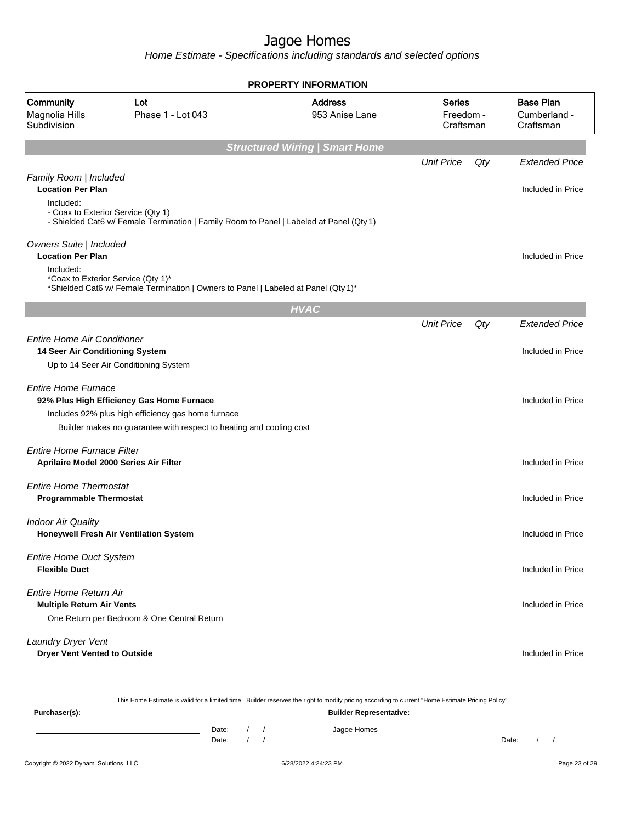Home Estimate - Specifications including standards and selected options

|                                                                             |                                                                                                                                                                        | <b>PROPERTY INFORMATION</b>           |                                         |     |                                               |
|-----------------------------------------------------------------------------|------------------------------------------------------------------------------------------------------------------------------------------------------------------------|---------------------------------------|-----------------------------------------|-----|-----------------------------------------------|
| Community<br>Magnolia Hills<br>Subdivision                                  | Lot<br>Phase 1 - Lot 043                                                                                                                                               | <b>Address</b><br>953 Anise Lane      | <b>Series</b><br>Freedom -<br>Craftsman |     | <b>Base Plan</b><br>Cumberland -<br>Craftsman |
|                                                                             |                                                                                                                                                                        | <b>Structured Wiring   Smart Home</b> |                                         |     |                                               |
|                                                                             |                                                                                                                                                                        |                                       | <b>Unit Price</b>                       | Qty | <b>Extended Price</b>                         |
| Family Room   Included<br><b>Location Per Plan</b>                          |                                                                                                                                                                        |                                       |                                         |     | Included in Price                             |
| Included:<br>- Coax to Exterior Service (Qty 1)                             | - Shielded Cat6 w/ Female Termination   Family Room to Panel   Labeled at Panel (Qty 1)                                                                                |                                       |                                         |     |                                               |
| Owners Suite   Included<br><b>Location Per Plan</b>                         |                                                                                                                                                                        |                                       |                                         |     | Included in Price                             |
| Included:<br>*Coax to Exterior Service (Qty 1)*                             | *Shielded Cat6 w/ Female Termination   Owners to Panel   Labeled at Panel (Qty 1)*                                                                                     |                                       |                                         |     |                                               |
|                                                                             |                                                                                                                                                                        | <b>HVAC</b>                           |                                         |     |                                               |
|                                                                             |                                                                                                                                                                        |                                       | <b>Unit Price</b>                       | Qty | <b>Extended Price</b>                         |
| <b>Entire Home Air Conditioner</b><br>14 Seer Air Conditioning System       | Up to 14 Seer Air Conditioning System                                                                                                                                  |                                       |                                         |     | Included in Price                             |
| <b>Entire Home Furnace</b>                                                  | 92% Plus High Efficiency Gas Home Furnace<br>Includes 92% plus high efficiency gas home furnace<br>Builder makes no guarantee with respect to heating and cooling cost |                                       |                                         |     | Included in Price                             |
| <b>Entire Home Furnace Filter</b><br>Aprilaire Model 2000 Series Air Filter |                                                                                                                                                                        |                                       |                                         |     | Included in Price                             |
| <b>Entire Home Thermostat</b><br><b>Programmable Thermostat</b>             |                                                                                                                                                                        |                                       |                                         |     | Included in Price                             |
| <b>Indoor Air Quality</b><br>Honeywell Fresh Air Ventilation System         |                                                                                                                                                                        |                                       |                                         |     | Included in Price                             |
| <b>Entire Home Duct System</b><br><b>Flexible Duct</b>                      |                                                                                                                                                                        |                                       |                                         |     | Included in Price                             |
| Entire Home Return Air<br><b>Multiple Return Air Vents</b>                  | One Return per Bedroom & One Central Return                                                                                                                            |                                       |                                         |     | Included in Price                             |
| Laundry Dryer Vent<br><b>Dryer Vent Vented to Outside</b>                   |                                                                                                                                                                        |                                       |                                         |     | Included in Price                             |

This Home Estimate is valid for a limited time. Builder reserves the right to modify pricing according to current "Home Estimate Pricing Policy"

| Purchaser(s): |                |  | <b>Builder Representative:</b> |       |  |
|---------------|----------------|--|--------------------------------|-------|--|
|               | Date:<br>Date: |  | Jagoe Homes                    | Date: |  |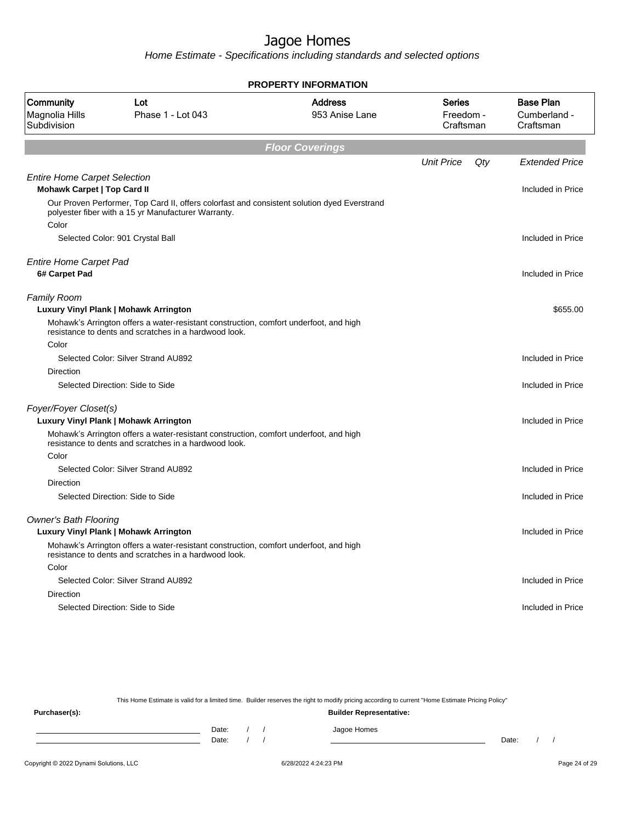Home Estimate - Specifications including standards and selected options

|                                                                           |                                                                                                                                                                                         | <b>PROPERTY INFORMATION</b>      |                                         |                                               |
|---------------------------------------------------------------------------|-----------------------------------------------------------------------------------------------------------------------------------------------------------------------------------------|----------------------------------|-----------------------------------------|-----------------------------------------------|
| Community<br>Magnolia Hills<br>Subdivision                                | Lot<br>Phase 1 - Lot 043                                                                                                                                                                | <b>Address</b><br>953 Anise Lane | <b>Series</b><br>Freedom -<br>Craftsman | <b>Base Plan</b><br>Cumberland -<br>Craftsman |
|                                                                           |                                                                                                                                                                                         | <b>Floor Coverings</b>           |                                         |                                               |
|                                                                           |                                                                                                                                                                                         |                                  | <b>Unit Price</b><br>Qty                | <b>Extended Price</b>                         |
| <b>Entire Home Carpet Selection</b><br><b>Mohawk Carpet   Top Card II</b> |                                                                                                                                                                                         |                                  |                                         | Included in Price                             |
| Color                                                                     | Our Proven Performer, Top Card II, offers colorfast and consistent solution dyed Everstrand<br>polyester fiber with a 15 yr Manufacturer Warranty.                                      |                                  |                                         |                                               |
|                                                                           | Selected Color: 901 Crystal Ball                                                                                                                                                        |                                  |                                         | Included in Price                             |
| <b>Entire Home Carpet Pad</b><br>6# Carpet Pad                            |                                                                                                                                                                                         |                                  |                                         | Included in Price                             |
| <b>Family Room</b>                                                        | <b>Luxury Vinyl Plank   Mohawk Arrington</b>                                                                                                                                            |                                  |                                         | \$655.00                                      |
|                                                                           | Mohawk's Arrington offers a water-resistant construction, comfort underfoot, and high<br>resistance to dents and scratches in a hardwood look.                                          |                                  |                                         |                                               |
| Color                                                                     |                                                                                                                                                                                         |                                  |                                         |                                               |
| Direction                                                                 | Selected Color: Silver Strand AU892                                                                                                                                                     |                                  |                                         | Included in Price                             |
|                                                                           | Selected Direction: Side to Side                                                                                                                                                        |                                  |                                         | Included in Price                             |
| Foyer/Foyer Closet(s)                                                     | Luxury Vinyl Plank   Mohawk Arrington                                                                                                                                                   |                                  |                                         | Included in Price                             |
|                                                                           | Mohawk's Arrington offers a water-resistant construction, comfort underfoot, and high<br>resistance to dents and scratches in a hardwood look.                                          |                                  |                                         |                                               |
| Color                                                                     | Selected Color: Silver Strand AU892                                                                                                                                                     |                                  |                                         | Included in Price                             |
| Direction                                                                 | Selected Direction: Side to Side                                                                                                                                                        |                                  |                                         | Included in Price                             |
| <b>Owner's Bath Flooring</b>                                              | Luxury Vinyl Plank   Mohawk Arrington<br>Mohawk's Arrington offers a water-resistant construction, comfort underfoot, and high<br>resistance to dents and scratches in a hardwood look. |                                  |                                         | Included in Price                             |
| Color                                                                     | Selected Color: Silver Strand AU892                                                                                                                                                     |                                  |                                         | Included in Price                             |
| Direction                                                                 |                                                                                                                                                                                         |                                  |                                         |                                               |
|                                                                           | Selected Direction: Side to Side                                                                                                                                                        |                                  |                                         | Included in Price                             |

This Home Estimate is valid for a limited time. Builder reserves the right to modify pricing according to current "Home Estimate Pricing Policy" **Purchaser(s): Builder Representative:** Date: / / Jagoe Homes<br>Date: / / Jagoe Homes Date: / / **Date: / / 2006** Date: / / / Date: / / /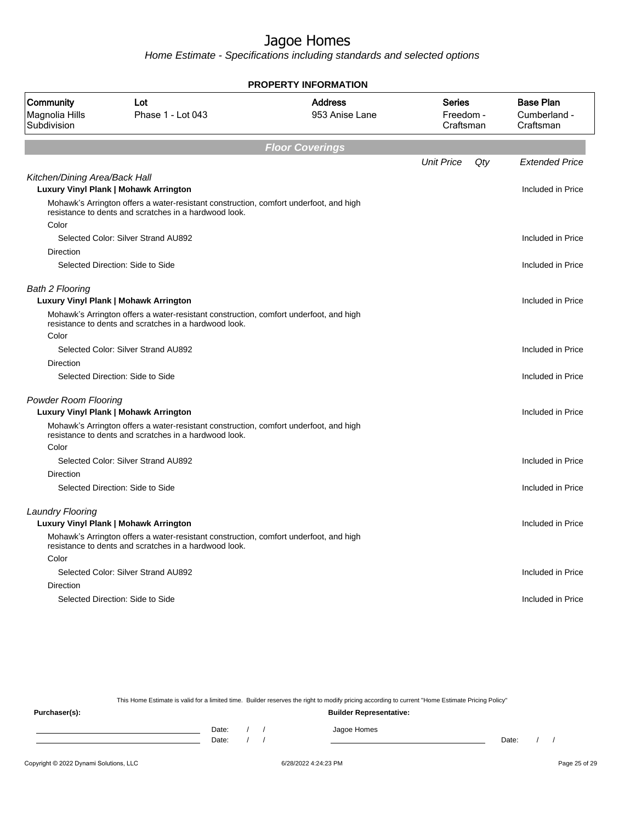Home Estimate - Specifications including standards and selected options

|                                            |                                                                                                                                                | <b>PROPERTY INFORMATION</b>      |                                         |                                               |
|--------------------------------------------|------------------------------------------------------------------------------------------------------------------------------------------------|----------------------------------|-----------------------------------------|-----------------------------------------------|
| Community<br>Magnolia Hills<br>Subdivision | Lot<br>Phase 1 - Lot 043                                                                                                                       | <b>Address</b><br>953 Anise Lane | <b>Series</b><br>Freedom -<br>Craftsman | <b>Base Plan</b><br>Cumberland -<br>Craftsman |
|                                            |                                                                                                                                                | <b>Floor Coverings</b>           |                                         |                                               |
|                                            |                                                                                                                                                |                                  | <b>Unit Price</b><br>Qty                | <b>Extended Price</b>                         |
| Kitchen/Dining Area/Back Hall              |                                                                                                                                                |                                  |                                         |                                               |
|                                            | Luxury Vinyl Plank   Mohawk Arrington                                                                                                          |                                  |                                         | Included in Price                             |
|                                            | Mohawk's Arrington offers a water-resistant construction, comfort underfoot, and high<br>resistance to dents and scratches in a hardwood look. |                                  |                                         |                                               |
| Color                                      |                                                                                                                                                |                                  |                                         |                                               |
|                                            | Selected Color: Silver Strand AU892                                                                                                            |                                  |                                         | Included in Price                             |
| Direction                                  |                                                                                                                                                |                                  |                                         |                                               |
|                                            | Selected Direction: Side to Side                                                                                                               |                                  |                                         | Included in Price                             |
| <b>Bath 2 Flooring</b>                     |                                                                                                                                                |                                  |                                         |                                               |
|                                            | Luxury Vinyl Plank   Mohawk Arrington                                                                                                          |                                  |                                         | Included in Price                             |
|                                            | Mohawk's Arrington offers a water-resistant construction, comfort underfoot, and high<br>resistance to dents and scratches in a hardwood look. |                                  |                                         |                                               |
| Color                                      |                                                                                                                                                |                                  |                                         |                                               |
|                                            | Selected Color: Silver Strand AU892                                                                                                            |                                  |                                         | Included in Price                             |
| Direction                                  |                                                                                                                                                |                                  |                                         |                                               |
|                                            | Selected Direction: Side to Side                                                                                                               |                                  |                                         | Included in Price                             |
| <b>Powder Room Flooring</b>                |                                                                                                                                                |                                  |                                         |                                               |
|                                            | Luxury Vinyl Plank   Mohawk Arrington                                                                                                          |                                  |                                         | Included in Price                             |
|                                            | Mohawk's Arrington offers a water-resistant construction, comfort underfoot, and high<br>resistance to dents and scratches in a hardwood look. |                                  |                                         |                                               |
| Color                                      |                                                                                                                                                |                                  |                                         |                                               |
|                                            | Selected Color: Silver Strand AU892                                                                                                            |                                  |                                         | Included in Price                             |
| Direction                                  |                                                                                                                                                |                                  |                                         |                                               |
|                                            | Selected Direction: Side to Side                                                                                                               |                                  |                                         | Included in Price                             |
| <b>Laundry Flooring</b>                    |                                                                                                                                                |                                  |                                         |                                               |
|                                            | Luxury Vinyl Plank   Mohawk Arrington                                                                                                          |                                  |                                         | Included in Price                             |
|                                            | Mohawk's Arrington offers a water-resistant construction, comfort underfoot, and high<br>resistance to dents and scratches in a hardwood look. |                                  |                                         |                                               |
| Color                                      |                                                                                                                                                |                                  |                                         |                                               |
|                                            | Selected Color: Silver Strand AU892                                                                                                            |                                  |                                         | Included in Price                             |
| Direction                                  |                                                                                                                                                |                                  |                                         |                                               |
|                                            | Selected Direction: Side to Side                                                                                                               |                                  |                                         | Included in Price                             |
|                                            |                                                                                                                                                |                                  |                                         |                                               |

This Home Estimate is valid for a limited time. Builder reserves the right to modify pricing according to current "Home Estimate Pricing Policy"

**Purchaser(s): Builder Representative:** Date: / / Jagoe Homes<br>Date: / / Jagoe Homes Date: / / Date: / /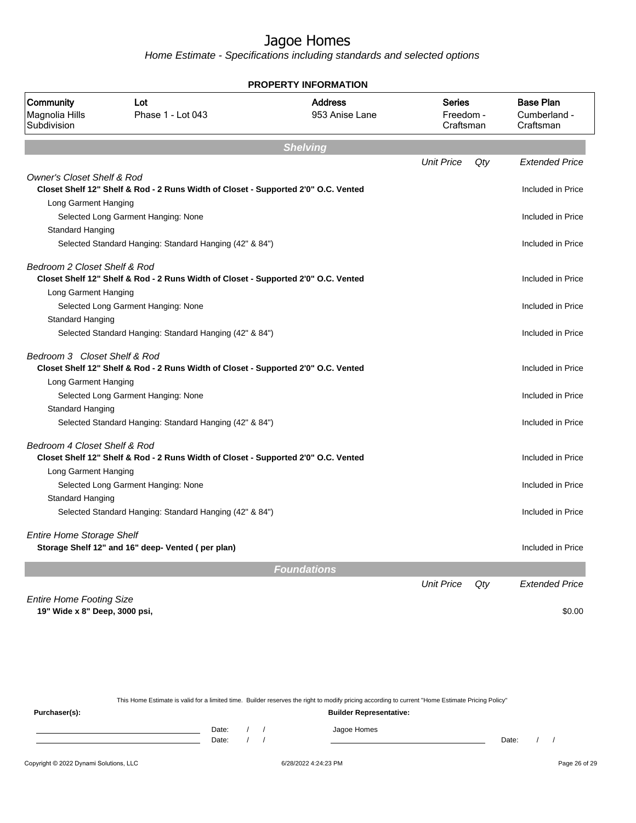Home Estimate - Specifications including standards and selected options

|                                                                  |                                                                                    | <b>PROPERTY INFORMATION</b>      |                                         |                                               |
|------------------------------------------------------------------|------------------------------------------------------------------------------------|----------------------------------|-----------------------------------------|-----------------------------------------------|
| Community<br>Magnolia Hills<br>Subdivision                       | Lot<br>Phase 1 - Lot 043                                                           | <b>Address</b><br>953 Anise Lane | <b>Series</b><br>Freedom -<br>Craftsman | <b>Base Plan</b><br>Cumberland -<br>Craftsman |
|                                                                  |                                                                                    | <b>Shelving</b>                  |                                         |                                               |
|                                                                  |                                                                                    |                                  | <b>Unit Price</b><br>Qty                | <b>Extended Price</b>                         |
| <b>Owner's Closet Shelf &amp; Rod</b>                            | Closet Shelf 12" Shelf & Rod - 2 Runs Width of Closet - Supported 2'0" O.C. Vented |                                  |                                         | Included in Price                             |
| Long Garment Hanging                                             |                                                                                    |                                  |                                         |                                               |
|                                                                  | Selected Long Garment Hanging: None                                                |                                  |                                         | Included in Price                             |
| Standard Hanging                                                 |                                                                                    |                                  |                                         |                                               |
|                                                                  | Selected Standard Hanging: Standard Hanging (42" & 84")                            |                                  |                                         | Included in Price                             |
| Bedroom 2 Closet Shelf & Rod                                     | Closet Shelf 12" Shelf & Rod - 2 Runs Width of Closet - Supported 2'0" O.C. Vented |                                  |                                         | Included in Price                             |
| Long Garment Hanging                                             |                                                                                    |                                  |                                         |                                               |
|                                                                  | Selected Long Garment Hanging: None                                                |                                  |                                         | Included in Price                             |
| Standard Hanging                                                 |                                                                                    |                                  |                                         |                                               |
|                                                                  | Selected Standard Hanging: Standard Hanging (42" & 84")                            |                                  |                                         | Included in Price                             |
| Bedroom 3 Closet Shelf & Rod                                     | Closet Shelf 12" Shelf & Rod - 2 Runs Width of Closet - Supported 2'0" O.C. Vented |                                  |                                         | Included in Price                             |
| Long Garment Hanging                                             |                                                                                    |                                  |                                         |                                               |
|                                                                  | Selected Long Garment Hanging: None                                                |                                  |                                         | Included in Price                             |
| Standard Hanging                                                 |                                                                                    |                                  |                                         |                                               |
|                                                                  | Selected Standard Hanging: Standard Hanging (42" & 84")                            |                                  |                                         | Included in Price                             |
| Bedroom 4 Closet Shelf & Rod                                     | Closet Shelf 12" Shelf & Rod - 2 Runs Width of Closet - Supported 2'0" O.C. Vented |                                  |                                         | Included in Price                             |
| Long Garment Hanging                                             |                                                                                    |                                  |                                         |                                               |
|                                                                  | Selected Long Garment Hanging: None                                                |                                  |                                         | Included in Price                             |
| <b>Standard Hanging</b>                                          |                                                                                    |                                  |                                         |                                               |
|                                                                  | Selected Standard Hanging: Standard Hanging (42" & 84")                            |                                  |                                         | Included in Price                             |
| <b>Entire Home Storage Shelf</b>                                 | Storage Shelf 12" and 16" deep- Vented (per plan)                                  |                                  |                                         | Included in Price                             |
|                                                                  |                                                                                    | <b>Foundations</b>               |                                         |                                               |
|                                                                  |                                                                                    |                                  | <b>Unit Price</b><br>Qty                | <b>Extended Price</b>                         |
| <b>Entire Home Footing Size</b><br>19" Wide x 8" Deep, 3000 psi, |                                                                                    |                                  |                                         | \$0.00                                        |

This Home Estimate is valid for a limited time. Builder reserves the right to modify pricing according to current "Home Estimate Pricing Policy"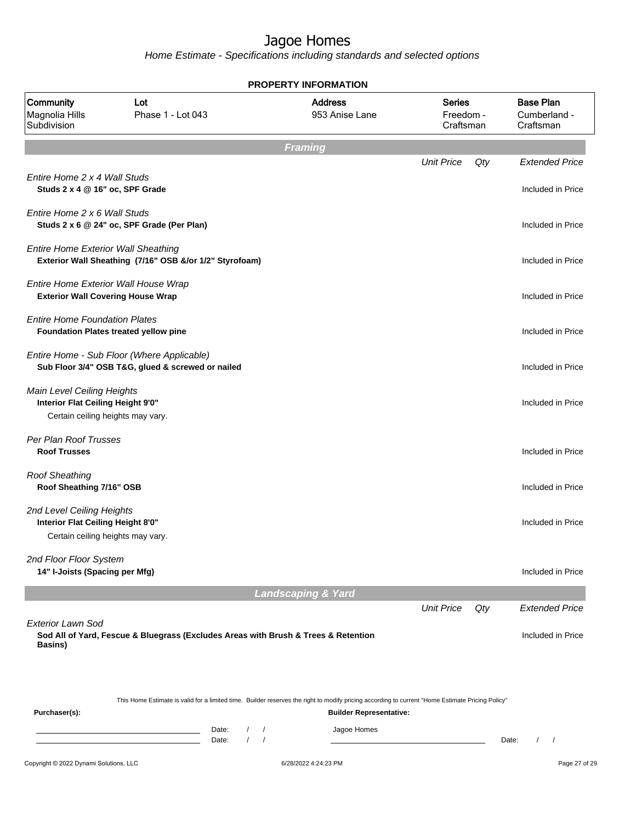|                                                                                                      |                                                                                                 |                |                                    | <b>PROPERTY INFORMATION</b>                                                                                                                                                        |                                         |     |                                               |
|------------------------------------------------------------------------------------------------------|-------------------------------------------------------------------------------------------------|----------------|------------------------------------|------------------------------------------------------------------------------------------------------------------------------------------------------------------------------------|-----------------------------------------|-----|-----------------------------------------------|
| Community<br>Magnolia Hills<br>Subdivision                                                           | Lot<br>Phase 1 - Lot 043                                                                        |                |                                    | <b>Address</b><br>953 Anise Lane                                                                                                                                                   | <b>Series</b><br>Freedom -<br>Craftsman |     | <b>Base Plan</b><br>Cumberland -<br>Craftsman |
|                                                                                                      |                                                                                                 |                |                                    | <b>Framing</b>                                                                                                                                                                     |                                         |     |                                               |
| Entire Home 2 x 4 Wall Studs<br>Studs 2 x 4 @ 16" oc, SPF Grade                                      |                                                                                                 |                |                                    |                                                                                                                                                                                    | <b>Unit Price</b>                       | Qty | <b>Extended Price</b><br>Included in Price    |
| Entire Home 2 x 6 Wall Studs                                                                         | Studs 2 x 6 @ 24" oc, SPF Grade (Per Plan)                                                      |                |                                    |                                                                                                                                                                                    |                                         |     | Included in Price                             |
| <b>Entire Home Exterior Wall Sheathing</b>                                                           | Exterior Wall Sheathing (7/16" OSB &/or 1/2" Styrofoam)                                         |                |                                    |                                                                                                                                                                                    |                                         |     | Included in Price                             |
| Entire Home Exterior Wall House Wrap<br><b>Exterior Wall Covering House Wrap</b>                     |                                                                                                 |                |                                    |                                                                                                                                                                                    |                                         |     | Included in Price                             |
| <b>Entire Home Foundation Plates</b>                                                                 | Foundation Plates treated yellow pine                                                           |                |                                    |                                                                                                                                                                                    |                                         |     | Included in Price                             |
|                                                                                                      | Entire Home - Sub Floor (Where Applicable)<br>Sub Floor 3/4" OSB T&G, glued & screwed or nailed |                |                                    |                                                                                                                                                                                    |                                         |     | Included in Price                             |
| Main Level Ceiling Heights<br>Interior Flat Ceiling Height 9'0"<br>Certain ceiling heights may vary. |                                                                                                 |                |                                    |                                                                                                                                                                                    |                                         |     | Included in Price                             |
| Per Plan Roof Trusses<br><b>Roof Trusses</b>                                                         |                                                                                                 |                |                                    |                                                                                                                                                                                    |                                         |     | Included in Price                             |
| <b>Roof Sheathing</b><br>Roof Sheathing 7/16" OSB                                                    |                                                                                                 |                |                                    |                                                                                                                                                                                    |                                         |     | Included in Price                             |
| 2nd Level Ceiling Heights<br>Interior Flat Ceiling Height 8'0"<br>Certain ceiling heights may vary.  |                                                                                                 |                |                                    |                                                                                                                                                                                    |                                         |     | Included in Price                             |
| 2nd Floor Floor System<br>14" I-Joists (Spacing per Mfg)                                             |                                                                                                 |                |                                    |                                                                                                                                                                                    |                                         |     | Included in Price                             |
|                                                                                                      |                                                                                                 |                |                                    | <b>Landscaping &amp; Yard</b>                                                                                                                                                      |                                         |     |                                               |
|                                                                                                      |                                                                                                 |                |                                    |                                                                                                                                                                                    | <b>Unit Price</b>                       | Qty | <b>Extended Price</b>                         |
| <b>Exterior Lawn Sod</b><br><b>Basins</b> )                                                          | Sod All of Yard, Fescue & Bluegrass (Excludes Areas with Brush & Trees & Retention              |                |                                    |                                                                                                                                                                                    |                                         |     | Included in Price                             |
| Purchaser(s):                                                                                        |                                                                                                 |                |                                    | This Home Estimate is valid for a limited time. Builder reserves the right to modify pricing according to current "Home Estimate Pricing Policy"<br><b>Builder Representative:</b> |                                         |     |                                               |
|                                                                                                      |                                                                                                 | Date:<br>Date: | $\prime$<br>$\sqrt{ }$<br>$\prime$ | Jagoe Homes                                                                                                                                                                        |                                         |     | Date:<br>$\left  \right $                     |
| Copyright @ 2022 Dynami Solutions, LLC                                                               |                                                                                                 |                |                                    | 6/28/2022 4:24:23 PM                                                                                                                                                               |                                         |     | Page 27 of 29                                 |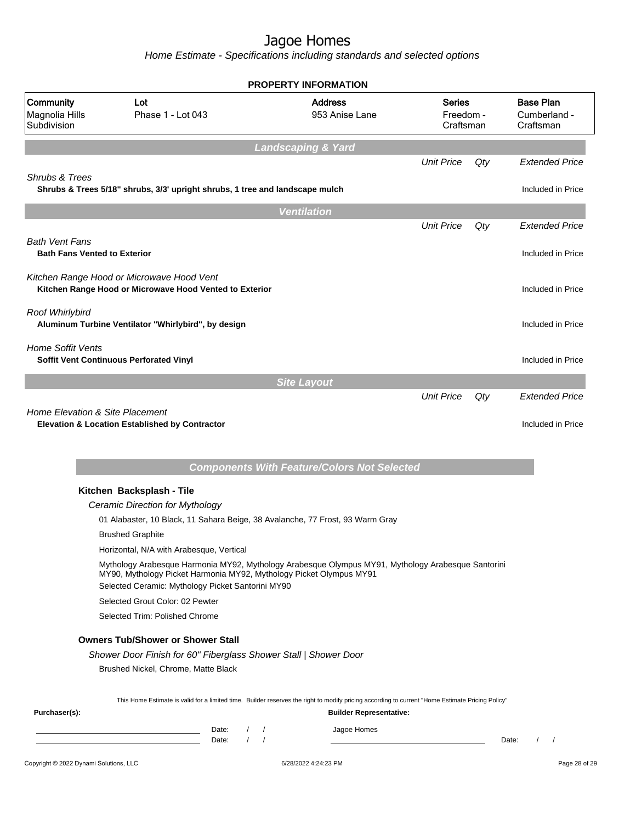| <b>Address</b><br><b>Community</b><br>Lot<br><b>Series</b><br>Magnolia Hills<br>Phase 1 - Lot 043<br>953 Anise Lane<br>Freedom -<br>Subdivision<br>Craftsman<br><b>Landscaping &amp; Yard</b><br><b>Unit Price</b><br>Qty<br>Shrubs & Trees<br>Shrubs & Trees 5/18" shrubs, 3/3' upright shrubs, 1 tree and landscape mulch<br><b>Ventilation</b><br><b>Unit Price</b><br>Qty<br><b>Bath Vent Fans</b><br><b>Bath Fans Vented to Exterior</b><br>Kitchen Range Hood or Microwave Hood Vent<br>Kitchen Range Hood or Microwave Hood Vented to Exterior<br>Roof Whirlybird<br>Aluminum Turbine Ventilator "Whirlybird", by design<br><b>Home Soffit Vents</b><br>Soffit Vent Continuous Perforated Vinyl<br><b>Site Layout</b><br><b>Unit Price</b><br>Qty<br><b>Extended Price</b><br><b>Home Elevation &amp; Site Placement</b><br>Elevation & Location Established by Contractor<br><b>Components With Feature/Colors Not Selected</b><br>Kitchen Backsplash - Tile<br>Ceramic Direction for Mythology<br>01 Alabaster, 10 Black, 11 Sahara Beige, 38 Avalanche, 77 Frost, 93 Warm Gray<br><b>Brushed Graphite</b><br>Horizontal, N/A with Arabesque, Vertical<br>Mythology Arabesque Harmonia MY92, Mythology Arabesque Olympus MY91, Mythology Arabesque Santorini<br>MY90, Mythology Picket Harmonia MY92, Mythology Picket Olympus MY91<br>Selected Ceramic: Mythology Picket Santorini MY90<br>Selected Grout Color: 02 Pewter<br>Selected Trim: Polished Chrome<br><b>Owners Tub/Shower or Shower Stall</b><br>Shower Door Finish for 60" Fiberglass Shower Stall   Shower Door<br>Brushed Nickel, Chrome, Matte Black<br>This Home Estimate is valid for a limited time. Builder reserves the right to modify pricing according to current "Home Estimate Pricing Policy"<br>Purchaser(s):<br><b>Builder Representative:</b><br>Jagoe Homes<br>Date: |  |                     | <b>PROPERTY INFORMATION</b> |  |                                               |
|--------------------------------------------------------------------------------------------------------------------------------------------------------------------------------------------------------------------------------------------------------------------------------------------------------------------------------------------------------------------------------------------------------------------------------------------------------------------------------------------------------------------------------------------------------------------------------------------------------------------------------------------------------------------------------------------------------------------------------------------------------------------------------------------------------------------------------------------------------------------------------------------------------------------------------------------------------------------------------------------------------------------------------------------------------------------------------------------------------------------------------------------------------------------------------------------------------------------------------------------------------------------------------------------------------------------------------------------------------------------------------------------------------------------------------------------------------------------------------------------------------------------------------------------------------------------------------------------------------------------------------------------------------------------------------------------------------------------------------------------------------------------------------------------------------------------------------------------------------------|--|---------------------|-----------------------------|--|-----------------------------------------------|
|                                                                                                                                                                                                                                                                                                                                                                                                                                                                                                                                                                                                                                                                                                                                                                                                                                                                                                                                                                                                                                                                                                                                                                                                                                                                                                                                                                                                                                                                                                                                                                                                                                                                                                                                                                                                                                                              |  |                     |                             |  | <b>Base Plan</b><br>Cumberland -<br>Craftsman |
|                                                                                                                                                                                                                                                                                                                                                                                                                                                                                                                                                                                                                                                                                                                                                                                                                                                                                                                                                                                                                                                                                                                                                                                                                                                                                                                                                                                                                                                                                                                                                                                                                                                                                                                                                                                                                                                              |  |                     |                             |  |                                               |
|                                                                                                                                                                                                                                                                                                                                                                                                                                                                                                                                                                                                                                                                                                                                                                                                                                                                                                                                                                                                                                                                                                                                                                                                                                                                                                                                                                                                                                                                                                                                                                                                                                                                                                                                                                                                                                                              |  |                     |                             |  | <b>Extended Price</b>                         |
|                                                                                                                                                                                                                                                                                                                                                                                                                                                                                                                                                                                                                                                                                                                                                                                                                                                                                                                                                                                                                                                                                                                                                                                                                                                                                                                                                                                                                                                                                                                                                                                                                                                                                                                                                                                                                                                              |  |                     |                             |  | Included in Price                             |
|                                                                                                                                                                                                                                                                                                                                                                                                                                                                                                                                                                                                                                                                                                                                                                                                                                                                                                                                                                                                                                                                                                                                                                                                                                                                                                                                                                                                                                                                                                                                                                                                                                                                                                                                                                                                                                                              |  |                     |                             |  |                                               |
|                                                                                                                                                                                                                                                                                                                                                                                                                                                                                                                                                                                                                                                                                                                                                                                                                                                                                                                                                                                                                                                                                                                                                                                                                                                                                                                                                                                                                                                                                                                                                                                                                                                                                                                                                                                                                                                              |  |                     |                             |  | <b>Extended Price</b>                         |
|                                                                                                                                                                                                                                                                                                                                                                                                                                                                                                                                                                                                                                                                                                                                                                                                                                                                                                                                                                                                                                                                                                                                                                                                                                                                                                                                                                                                                                                                                                                                                                                                                                                                                                                                                                                                                                                              |  |                     |                             |  | Included in Price                             |
|                                                                                                                                                                                                                                                                                                                                                                                                                                                                                                                                                                                                                                                                                                                                                                                                                                                                                                                                                                                                                                                                                                                                                                                                                                                                                                                                                                                                                                                                                                                                                                                                                                                                                                                                                                                                                                                              |  |                     |                             |  | Included in Price                             |
|                                                                                                                                                                                                                                                                                                                                                                                                                                                                                                                                                                                                                                                                                                                                                                                                                                                                                                                                                                                                                                                                                                                                                                                                                                                                                                                                                                                                                                                                                                                                                                                                                                                                                                                                                                                                                                                              |  |                     |                             |  | Included in Price                             |
|                                                                                                                                                                                                                                                                                                                                                                                                                                                                                                                                                                                                                                                                                                                                                                                                                                                                                                                                                                                                                                                                                                                                                                                                                                                                                                                                                                                                                                                                                                                                                                                                                                                                                                                                                                                                                                                              |  |                     |                             |  | Included in Price                             |
|                                                                                                                                                                                                                                                                                                                                                                                                                                                                                                                                                                                                                                                                                                                                                                                                                                                                                                                                                                                                                                                                                                                                                                                                                                                                                                                                                                                                                                                                                                                                                                                                                                                                                                                                                                                                                                                              |  |                     |                             |  |                                               |
|                                                                                                                                                                                                                                                                                                                                                                                                                                                                                                                                                                                                                                                                                                                                                                                                                                                                                                                                                                                                                                                                                                                                                                                                                                                                                                                                                                                                                                                                                                                                                                                                                                                                                                                                                                                                                                                              |  |                     |                             |  | Included in Price                             |
|                                                                                                                                                                                                                                                                                                                                                                                                                                                                                                                                                                                                                                                                                                                                                                                                                                                                                                                                                                                                                                                                                                                                                                                                                                                                                                                                                                                                                                                                                                                                                                                                                                                                                                                                                                                                                                                              |  |                     |                             |  |                                               |
|                                                                                                                                                                                                                                                                                                                                                                                                                                                                                                                                                                                                                                                                                                                                                                                                                                                                                                                                                                                                                                                                                                                                                                                                                                                                                                                                                                                                                                                                                                                                                                                                                                                                                                                                                                                                                                                              |  |                     |                             |  |                                               |
|                                                                                                                                                                                                                                                                                                                                                                                                                                                                                                                                                                                                                                                                                                                                                                                                                                                                                                                                                                                                                                                                                                                                                                                                                                                                                                                                                                                                                                                                                                                                                                                                                                                                                                                                                                                                                                                              |  |                     |                             |  |                                               |
|                                                                                                                                                                                                                                                                                                                                                                                                                                                                                                                                                                                                                                                                                                                                                                                                                                                                                                                                                                                                                                                                                                                                                                                                                                                                                                                                                                                                                                                                                                                                                                                                                                                                                                                                                                                                                                                              |  |                     |                             |  |                                               |
|                                                                                                                                                                                                                                                                                                                                                                                                                                                                                                                                                                                                                                                                                                                                                                                                                                                                                                                                                                                                                                                                                                                                                                                                                                                                                                                                                                                                                                                                                                                                                                                                                                                                                                                                                                                                                                                              |  |                     |                             |  |                                               |
|                                                                                                                                                                                                                                                                                                                                                                                                                                                                                                                                                                                                                                                                                                                                                                                                                                                                                                                                                                                                                                                                                                                                                                                                                                                                                                                                                                                                                                                                                                                                                                                                                                                                                                                                                                                                                                                              |  |                     |                             |  |                                               |
|                                                                                                                                                                                                                                                                                                                                                                                                                                                                                                                                                                                                                                                                                                                                                                                                                                                                                                                                                                                                                                                                                                                                                                                                                                                                                                                                                                                                                                                                                                                                                                                                                                                                                                                                                                                                                                                              |  |                     |                             |  |                                               |
|                                                                                                                                                                                                                                                                                                                                                                                                                                                                                                                                                                                                                                                                                                                                                                                                                                                                                                                                                                                                                                                                                                                                                                                                                                                                                                                                                                                                                                                                                                                                                                                                                                                                                                                                                                                                                                                              |  |                     |                             |  |                                               |
|                                                                                                                                                                                                                                                                                                                                                                                                                                                                                                                                                                                                                                                                                                                                                                                                                                                                                                                                                                                                                                                                                                                                                                                                                                                                                                                                                                                                                                                                                                                                                                                                                                                                                                                                                                                                                                                              |  |                     |                             |  |                                               |
|                                                                                                                                                                                                                                                                                                                                                                                                                                                                                                                                                                                                                                                                                                                                                                                                                                                                                                                                                                                                                                                                                                                                                                                                                                                                                                                                                                                                                                                                                                                                                                                                                                                                                                                                                                                                                                                              |  |                     |                             |  |                                               |
|                                                                                                                                                                                                                                                                                                                                                                                                                                                                                                                                                                                                                                                                                                                                                                                                                                                                                                                                                                                                                                                                                                                                                                                                                                                                                                                                                                                                                                                                                                                                                                                                                                                                                                                                                                                                                                                              |  |                     |                             |  |                                               |
|                                                                                                                                                                                                                                                                                                                                                                                                                                                                                                                                                                                                                                                                                                                                                                                                                                                                                                                                                                                                                                                                                                                                                                                                                                                                                                                                                                                                                                                                                                                                                                                                                                                                                                                                                                                                                                                              |  |                     |                             |  |                                               |
|                                                                                                                                                                                                                                                                                                                                                                                                                                                                                                                                                                                                                                                                                                                                                                                                                                                                                                                                                                                                                                                                                                                                                                                                                                                                                                                                                                                                                                                                                                                                                                                                                                                                                                                                                                                                                                                              |  |                     |                             |  |                                               |
|                                                                                                                                                                                                                                                                                                                                                                                                                                                                                                                                                                                                                                                                                                                                                                                                                                                                                                                                                                                                                                                                                                                                                                                                                                                                                                                                                                                                                                                                                                                                                                                                                                                                                                                                                                                                                                                              |  |                     |                             |  |                                               |
| Date:                                                                                                                                                                                                                                                                                                                                                                                                                                                                                                                                                                                                                                                                                                                                                                                                                                                                                                                                                                                                                                                                                                                                                                                                                                                                                                                                                                                                                                                                                                                                                                                                                                                                                                                                                                                                                                                        |  | $\sqrt{ }$<br>Date: |                             |  | $\left  \right $                              |